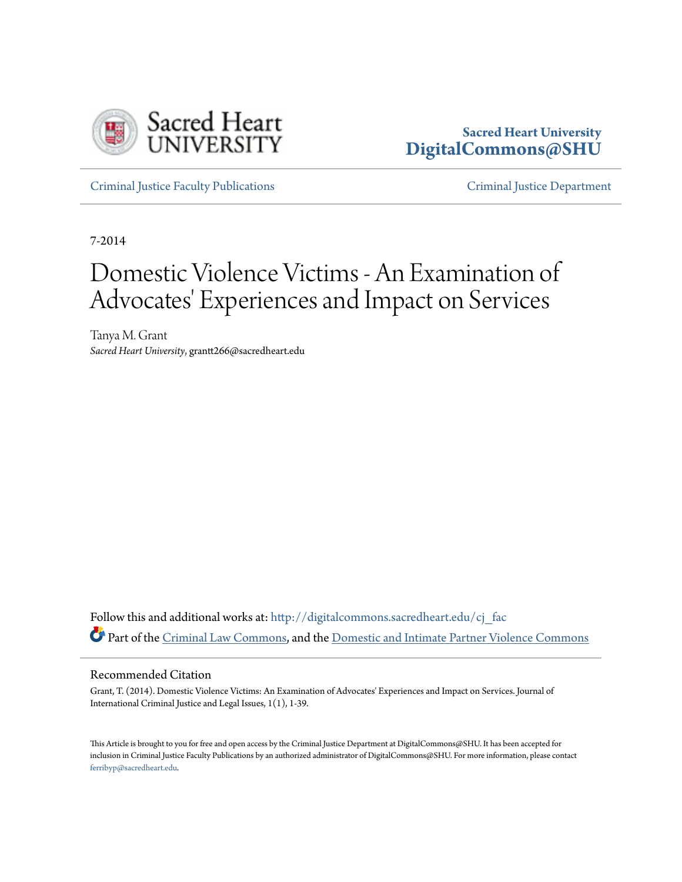

# **Sacred Heart University [DigitalCommons@SHU](http://digitalcommons.sacredheart.edu?utm_source=digitalcommons.sacredheart.edu%2Fcj_fac%2F20&utm_medium=PDF&utm_campaign=PDFCoverPages)**

[Criminal Justice Faculty Publications](http://digitalcommons.sacredheart.edu/cj_fac?utm_source=digitalcommons.sacredheart.edu%2Fcj_fac%2F20&utm_medium=PDF&utm_campaign=PDFCoverPages) [Criminal Justice Department](http://digitalcommons.sacredheart.edu/cj?utm_source=digitalcommons.sacredheart.edu%2Fcj_fac%2F20&utm_medium=PDF&utm_campaign=PDFCoverPages)

7-2014

# Domestic Violence Victims - An Examination of Advocates' Experiences and Impact on Services

Tanya M. Grant *Sacred Heart University*, grantt266@sacredheart.edu

Follow this and additional works at: [http://digitalcommons.sacredheart.edu/cj\\_fac](http://digitalcommons.sacredheart.edu/cj_fac?utm_source=digitalcommons.sacredheart.edu%2Fcj_fac%2F20&utm_medium=PDF&utm_campaign=PDFCoverPages) Part of the [Criminal Law Commons](http://network.bepress.com/hgg/discipline/912?utm_source=digitalcommons.sacredheart.edu%2Fcj_fac%2F20&utm_medium=PDF&utm_campaign=PDFCoverPages), and the [Domestic and Intimate Partner Violence Commons](http://network.bepress.com/hgg/discipline/1309?utm_source=digitalcommons.sacredheart.edu%2Fcj_fac%2F20&utm_medium=PDF&utm_campaign=PDFCoverPages)

#### Recommended Citation

Grant, T. (2014). Domestic Violence Victims: An Examination of Advocates' Experiences and Impact on Services. Journal of International Criminal Justice and Legal Issues, 1(1), 1-39.

This Article is brought to you for free and open access by the Criminal Justice Department at DigitalCommons@SHU. It has been accepted for inclusion in Criminal Justice Faculty Publications by an authorized administrator of DigitalCommons@SHU. For more information, please contact [ferribyp@sacredheart.edu](mailto:ferribyp@sacredheart.edu).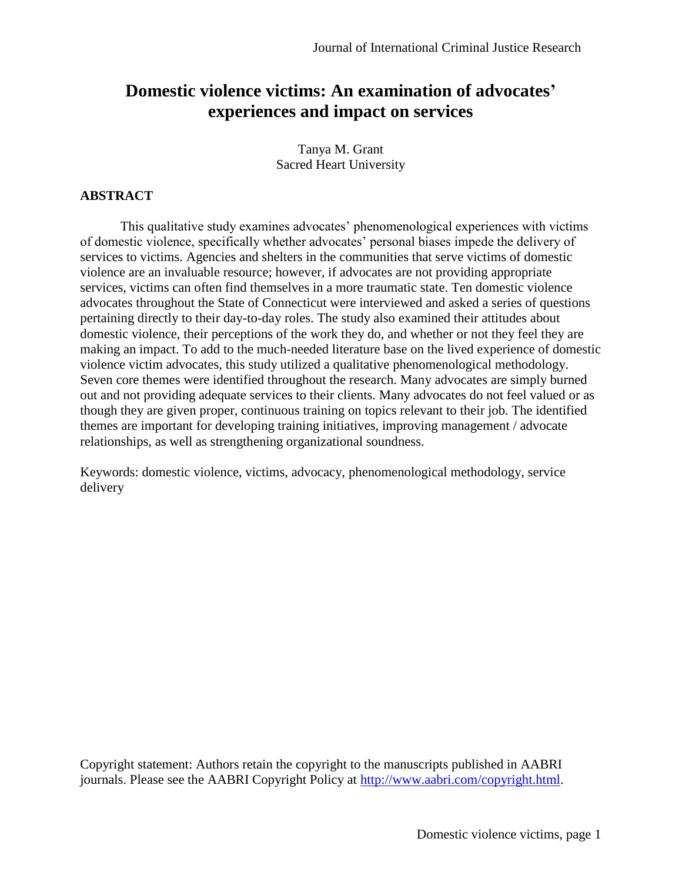# **Domestic violence victims: An examination of advocates' experiences and impact on services**

Tanya M. Grant Sacred Heart University

# **ABSTRACT**

This qualitative study examines advocates' phenomenological experiences with victims of domestic violence, specifically whether advocates' personal biases impede the delivery of services to victims. Agencies and shelters in the communities that serve victims of domestic violence are an invaluable resource; however, if advocates are not providing appropriate services, victims can often find themselves in a more traumatic state. Ten domestic violence advocates throughout the State of Connecticut were interviewed and asked a series of questions pertaining directly to their day-to-day roles. The study also examined their attitudes about domestic violence, their perceptions of the work they do, and whether or not they feel they are making an impact. To add to the much-needed literature base on the lived experience of domestic violence victim advocates, this study utilized a qualitative phenomenological methodology. Seven core themes were identified throughout the research. Many advocates are simply burned out and not providing adequate services to their clients. Many advocates do not feel valued or as though they are given proper, continuous training on topics relevant to their job. The identified themes are important for developing training initiatives, improving management / advocate relationships, as well as strengthening organizational soundness.

Keywords: domestic violence, victims, advocacy, phenomenological methodology, service delivery

Copyright statement: Authors retain the copyright to the manuscripts published in AABRI journals. Please see the AABRI Copyright Policy at [http://www.aabri.com/copyright.html.](http://www.aabri.com/copyright.html)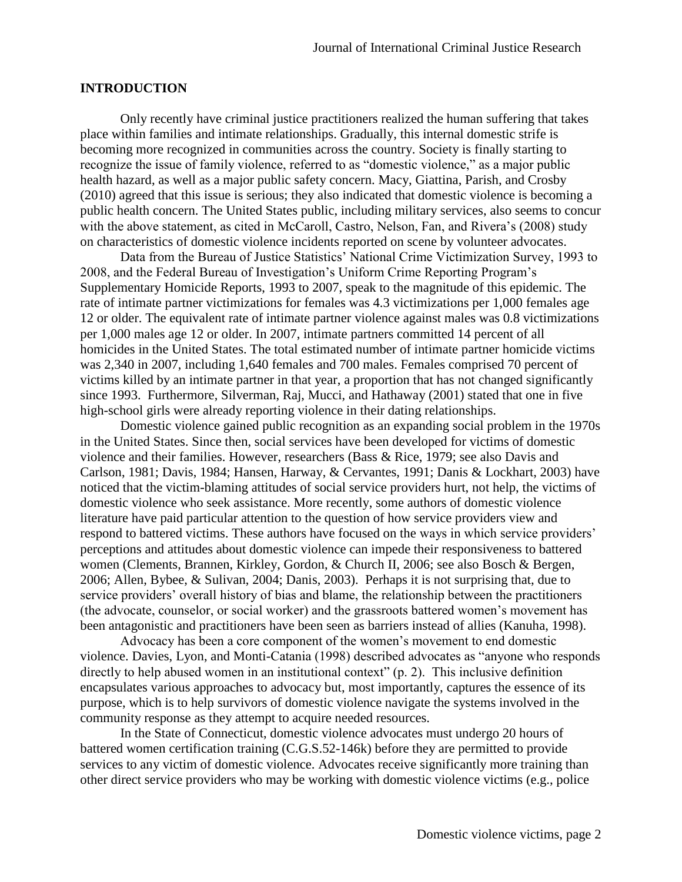#### **INTRODUCTION**

Only recently have criminal justice practitioners realized the human suffering that takes place within families and intimate relationships. Gradually, this internal domestic strife is becoming more recognized in communities across the country. Society is finally starting to recognize the issue of family violence, referred to as "domestic violence," as a major public health hazard, as well as a major public safety concern. Macy, Giattina, Parish, and Crosby (2010) agreed that this issue is serious; they also indicated that domestic violence is becoming a public health concern. The United States public, including military services, also seems to concur with the above statement, as cited in McCaroll, Castro, Nelson, Fan, and Rivera's (2008) study on characteristics of domestic violence incidents reported on scene by volunteer advocates.

Data from the Bureau of Justice Statistics' National Crime Victimization Survey, 1993 to 2008, and the Federal Bureau of Investigation's Uniform Crime Reporting Program's Supplementary Homicide Reports, 1993 to 2007, speak to the magnitude of this epidemic. The rate of intimate partner victimizations for females was 4.3 victimizations per 1,000 females age 12 or older. The equivalent rate of intimate partner violence against males was 0.8 victimizations per 1,000 males age 12 or older. In 2007, intimate partners committed 14 percent of all homicides in the United States. The total estimated number of intimate partner homicide victims was 2,340 in 2007, including 1,640 females and 700 males. Females comprised 70 percent of victims killed by an intimate partner in that year, a proportion that has not changed significantly since 1993. Furthermore, Silverman, Raj, Mucci, and Hathaway (2001) stated that one in five high-school girls were already reporting violence in their dating relationships.

Domestic violence gained public recognition as an expanding social problem in the 1970s in the United States. Since then, social services have been developed for victims of domestic violence and their families. However, researchers (Bass & Rice, 1979; see also Davis and Carlson, 1981; Davis, 1984; Hansen, Harway, & Cervantes, 1991; Danis & Lockhart, 2003) have noticed that the victim-blaming attitudes of social service providers hurt, not help, the victims of domestic violence who seek assistance. More recently, some authors of domestic violence literature have paid particular attention to the question of how service providers view and respond to battered victims. These authors have focused on the ways in which service providers' perceptions and attitudes about domestic violence can impede their responsiveness to battered women (Clements, Brannen, Kirkley, Gordon, & Church II, 2006; see also Bosch & Bergen, 2006; Allen, Bybee, & Sulivan, 2004; Danis, 2003). Perhaps it is not surprising that, due to service providers' overall history of bias and blame, the relationship between the practitioners (the advocate, counselor, or social worker) and the grassroots battered women's movement has been antagonistic and practitioners have been seen as barriers instead of allies (Kanuha, 1998).

Advocacy has been a core component of the women's movement to end domestic violence. Davies, Lyon, and Monti-Catania (1998) described advocates as "anyone who responds directly to help abused women in an institutional context" (p. 2). This inclusive definition encapsulates various approaches to advocacy but, most importantly, captures the essence of its purpose, which is to help survivors of domestic violence navigate the systems involved in the community response as they attempt to acquire needed resources.

In the State of Connecticut, domestic violence advocates must undergo 20 hours of battered women certification training (C.G.S.52-146k) before they are permitted to provide services to any victim of domestic violence. Advocates receive significantly more training than other direct service providers who may be working with domestic violence victims (e.g., police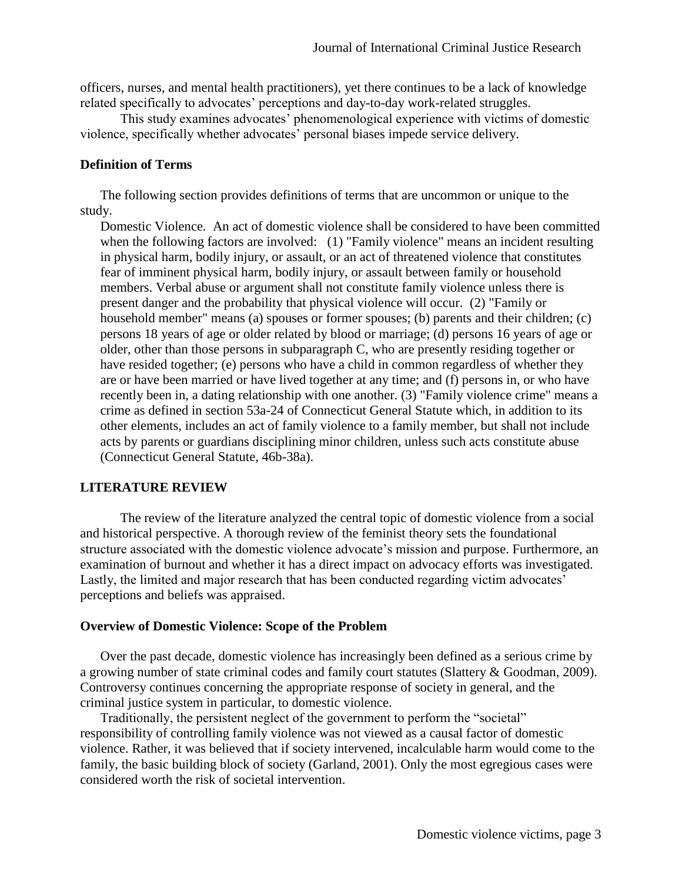officers, nurses, and mental health practitioners), yet there continues to be a lack of knowledge related specifically to advocates' perceptions and day-to-day work-related struggles.

This study examines advocates' phenomenological experience with victims of domestic violence, specifically whether advocates' personal biases impede service delivery.

# **Definition of Terms**

The following section provides definitions of terms that are uncommon or unique to the study.

Domestic Violence*.* An act of domestic violence shall be considered to have been committed when the following factors are involved: (1) "Family violence" means an incident resulting in physical harm, bodily injury, or assault, or an act of threatened violence that constitutes fear of imminent physical harm, bodily injury, or assault between family or household members. Verbal abuse or argument shall not constitute family violence unless there is present danger and the probability that physical violence will occur. (2) "Family or household member" means (a) spouses or former spouses; (b) parents and their children; (c) persons 18 years of age or older related by blood or marriage; (d) persons 16 years of age or older, other than those persons in subparagraph C, who are presently residing together or have resided together; (e) persons who have a child in common regardless of whether they are or have been married or have lived together at any time; and (f) persons in, or who have recently been in, a dating relationship with one another. (3) "Family violence crime" means a crime as defined in section 53a-24 of Connecticut General Statute which, in addition to its other elements, includes an act of family violence to a family member, but shall not include acts by parents or guardians disciplining minor children, unless such acts constitute abuse (Connecticut General Statute, 46b-38a).

# **LITERATURE REVIEW**

The review of the literature analyzed the central topic of domestic violence from a social and historical perspective. A thorough review of the feminist theory sets the foundational structure associated with the domestic violence advocate's mission and purpose. Furthermore, an examination of burnout and whether it has a direct impact on advocacy efforts was investigated. Lastly, the limited and major research that has been conducted regarding victim advocates' perceptions and beliefs was appraised.

# **Overview of Domestic Violence: Scope of the Problem**

Over the past decade, domestic violence has increasingly been defined as a serious crime by a growing number of state criminal codes and family court statutes (Slattery & Goodman, 2009). Controversy continues concerning the appropriate response of society in general, and the criminal justice system in particular, to domestic violence.

Traditionally, the persistent neglect of the government to perform the "societal" responsibility of controlling family violence was not viewed as a causal factor of domestic violence. Rather, it was believed that if society intervened, incalculable harm would come to the family, the basic building block of society (Garland, 2001). Only the most egregious cases were considered worth the risk of societal intervention.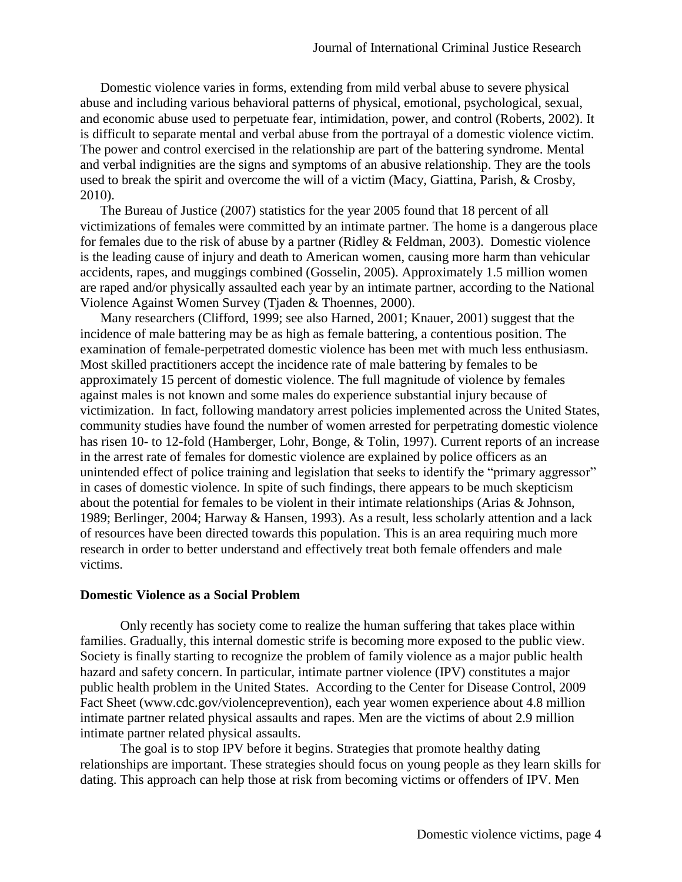Domestic violence varies in forms, extending from mild verbal abuse to severe physical abuse and including various behavioral patterns of physical, emotional, psychological, sexual, and economic abuse used to perpetuate fear, intimidation, power, and control (Roberts, 2002). It is difficult to separate mental and verbal abuse from the portrayal of a domestic violence victim. The power and control exercised in the relationship are part of the battering syndrome. Mental and verbal indignities are the signs and symptoms of an abusive relationship. They are the tools used to break the spirit and overcome the will of a victim (Macy, Giattina, Parish, & Crosby, 2010).

The Bureau of Justice (2007) statistics for the year 2005 found that 18 percent of all victimizations of females were committed by an intimate partner. The home is a dangerous place for females due to the risk of abuse by a partner (Ridley  $\&$  Feldman, 2003). Domestic violence is the leading cause of injury and death to American women, causing more harm than vehicular accidents, rapes, and muggings combined (Gosselin, 2005). Approximately 1.5 million women are raped and/or physically assaulted each year by an intimate partner, according to the National Violence Against Women Survey (Tjaden & Thoennes, 2000).

Many researchers (Clifford, 1999; see also Harned, 2001; Knauer, 2001) suggest that the incidence of male battering may be as high as female battering, a contentious position. The examination of female-perpetrated domestic violence has been met with much less enthusiasm. Most skilled practitioners accept the incidence rate of male battering by females to be approximately 15 percent of domestic violence. The full magnitude of violence by females against males is not known and some males do experience substantial injury because of victimization. In fact, following mandatory arrest policies implemented across the United States, community studies have found the number of women arrested for perpetrating domestic violence has risen 10- to 12-fold (Hamberger, Lohr, Bonge, & Tolin, 1997). Current reports of an increase in the arrest rate of females for domestic violence are explained by police officers as an unintended effect of police training and legislation that seeks to identify the "primary aggressor" in cases of domestic violence. In spite of such findings, there appears to be much skepticism about the potential for females to be violent in their intimate relationships (Arias & Johnson, 1989; Berlinger, 2004; Harway & Hansen, 1993). As a result, less scholarly attention and a lack of resources have been directed towards this population. This is an area requiring much more research in order to better understand and effectively treat both female offenders and male victims.

#### **Domestic Violence as a Social Problem**

Only recently has society come to realize the human suffering that takes place within families. Gradually, this internal domestic strife is becoming more exposed to the public view. Society is finally starting to recognize the problem of family violence as a major public health hazard and safety concern. In particular, intimate partner violence (IPV) constitutes a major public health problem in the United States. According to the Center for Disease Control, 2009 Fact Sheet (www.cdc.gov/violenceprevention), each year women experience about 4.8 million intimate partner related physical assaults and rapes. Men are the victims of about 2.9 million intimate partner related physical assaults.

The goal is to stop IPV before it begins. Strategies that promote healthy dating relationships are important. These strategies should focus on young people as they learn skills for dating. This approach can help those at risk from becoming victims or offenders of IPV. Men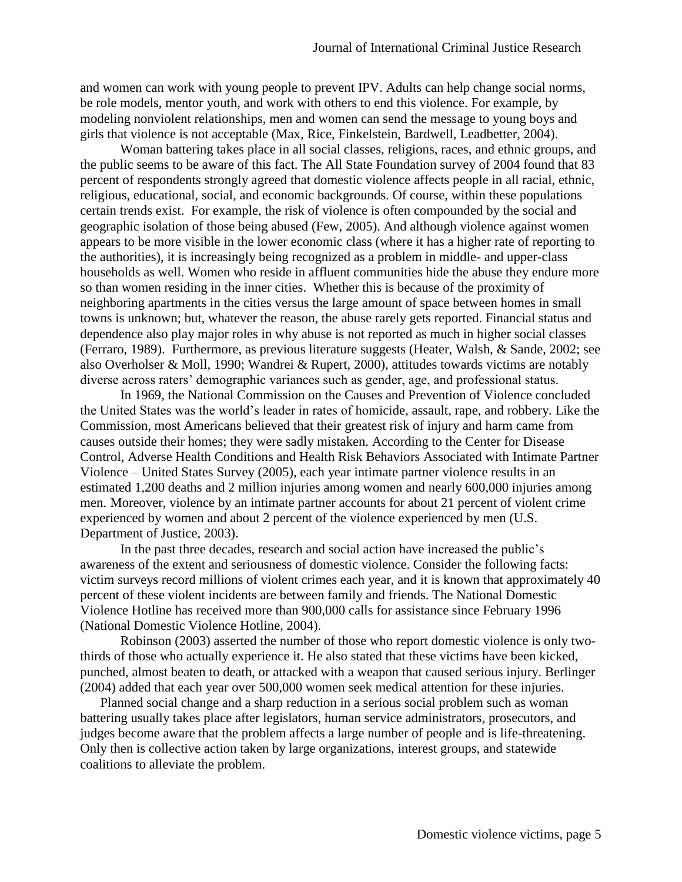and women can work with young people to prevent IPV. Adults can help change social norms, be role models, mentor youth, and work with others to end this violence. For example, by modeling nonviolent relationships, men and women can send the message to young boys and girls that violence is not acceptable (Max, Rice, Finkelstein, Bardwell, Leadbetter, 2004).

Woman battering takes place in all social classes, religions, races, and ethnic groups, and the public seems to be aware of this fact. The All State Foundation survey of 2004 found that 83 percent of respondents strongly agreed that domestic violence affects people in all racial, ethnic, religious, educational, social, and economic backgrounds. Of course, within these populations certain trends exist. For example, the risk of violence is often compounded by the social and geographic isolation of those being abused (Few, 2005). And although violence against women appears to be more visible in the lower economic class (where it has a higher rate of reporting to the authorities), it is increasingly being recognized as a problem in middle- and upper-class households as well. Women who reside in affluent communities hide the abuse they endure more so than women residing in the inner cities. Whether this is because of the proximity of neighboring apartments in the cities versus the large amount of space between homes in small towns is unknown; but, whatever the reason, the abuse rarely gets reported. Financial status and dependence also play major roles in why abuse is not reported as much in higher social classes (Ferraro, 1989). Furthermore, as previous literature suggests (Heater, Walsh, & Sande, 2002; see also Overholser & Moll, 1990; Wandrei & Rupert, 2000), attitudes towards victims are notably diverse across raters' demographic variances such as gender, age, and professional status.

In 1969, the National Commission on the Causes and Prevention of Violence concluded the United States was the world's leader in rates of homicide, assault, rape, and robbery. Like the Commission, most Americans believed that their greatest risk of injury and harm came from causes outside their homes; they were sadly mistaken. According to the Center for Disease Control, Adverse Health Conditions and Health Risk Behaviors Associated with Intimate Partner Violence – United States Survey (2005), each year intimate partner violence results in an estimated 1,200 deaths and 2 million injuries among women and nearly 600,000 injuries among men. Moreover, violence by an intimate partner accounts for about 21 percent of violent crime experienced by women and about 2 percent of the violence experienced by men (U.S. Department of Justice, 2003).

In the past three decades, research and social action have increased the public's awareness of the extent and seriousness of domestic violence. Consider the following facts: victim surveys record millions of violent crimes each year, and it is known that approximately 40 percent of these violent incidents are between family and friends. The National Domestic Violence Hotline has received more than 900,000 calls for assistance since February 1996 (National Domestic Violence Hotline, 2004).

Robinson (2003) asserted the number of those who report domestic violence is only twothirds of those who actually experience it. He also stated that these victims have been kicked, punched, almost beaten to death, or attacked with a weapon that caused serious injury. Berlinger (2004) added that each year over 500,000 women seek medical attention for these injuries.

Planned social change and a sharp reduction in a serious social problem such as woman battering usually takes place after legislators, human service administrators, prosecutors, and judges become aware that the problem affects a large number of people and is life-threatening. Only then is collective action taken by large organizations, interest groups, and statewide coalitions to alleviate the problem.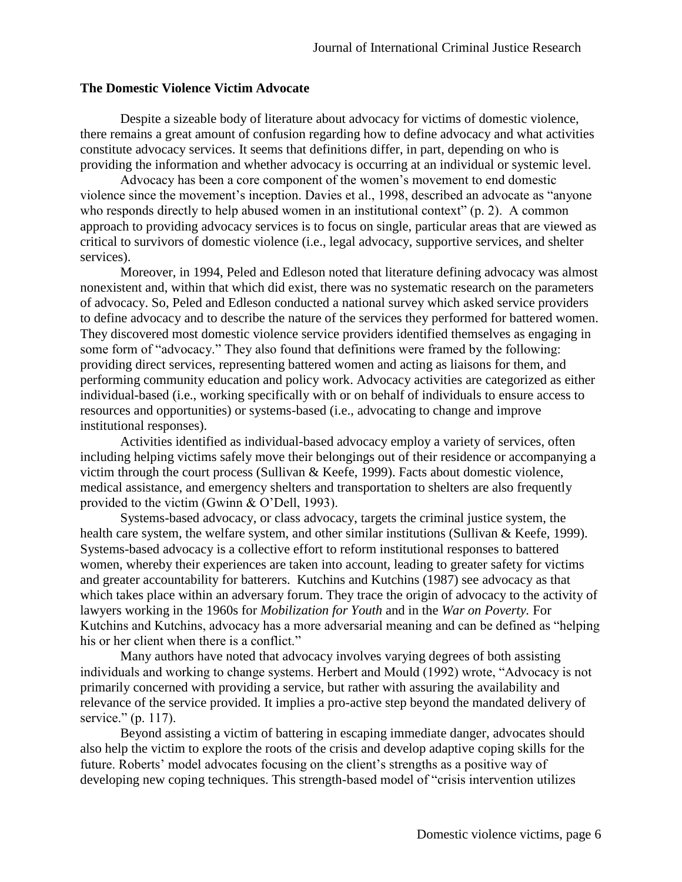#### **The Domestic Violence Victim Advocate**

Despite a sizeable body of literature about advocacy for victims of domestic violence, there remains a great amount of confusion regarding how to define advocacy and what activities constitute advocacy services. It seems that definitions differ, in part, depending on who is providing the information and whether advocacy is occurring at an individual or systemic level.

Advocacy has been a core component of the women's movement to end domestic violence since the movement's inception. Davies et al., 1998, described an advocate as "anyone who responds directly to help abused women in an institutional context" (p. 2). A common approach to providing advocacy services is to focus on single, particular areas that are viewed as critical to survivors of domestic violence (i.e., legal advocacy, supportive services, and shelter services).

Moreover, in 1994, Peled and Edleson noted that literature defining advocacy was almost nonexistent and, within that which did exist, there was no systematic research on the parameters of advocacy. So, Peled and Edleson conducted a national survey which asked service providers to define advocacy and to describe the nature of the services they performed for battered women. They discovered most domestic violence service providers identified themselves as engaging in some form of "advocacy." They also found that definitions were framed by the following: providing direct services, representing battered women and acting as liaisons for them, and performing community education and policy work. Advocacy activities are categorized as either individual-based (i.e., working specifically with or on behalf of individuals to ensure access to resources and opportunities) or systems-based (i.e., advocating to change and improve institutional responses).

Activities identified as individual-based advocacy employ a variety of services, often including helping victims safely move their belongings out of their residence or accompanying a victim through the court process (Sullivan & Keefe, 1999). Facts about domestic violence, medical assistance, and emergency shelters and transportation to shelters are also frequently provided to the victim (Gwinn & O'Dell, 1993).

Systems-based advocacy, or class advocacy, targets the criminal justice system, the health care system, the welfare system, and other similar institutions (Sullivan & Keefe, 1999). Systems-based advocacy is a collective effort to reform institutional responses to battered women, whereby their experiences are taken into account, leading to greater safety for victims and greater accountability for batterers. Kutchins and Kutchins (1987) see advocacy as that which takes place within an adversary forum. They trace the origin of advocacy to the activity of lawyers working in the 1960s for *Mobilization for Youth* and in the *War on Poverty.* For Kutchins and Kutchins, advocacy has a more adversarial meaning and can be defined as "helping his or her client when there is a conflict."

Many authors have noted that advocacy involves varying degrees of both assisting individuals and working to change systems. Herbert and Mould (1992) wrote, "Advocacy is not primarily concerned with providing a service, but rather with assuring the availability and relevance of the service provided. It implies a pro-active step beyond the mandated delivery of service." (p. 117).

Beyond assisting a victim of battering in escaping immediate danger, advocates should also help the victim to explore the roots of the crisis and develop adaptive coping skills for the future. Roberts' model advocates focusing on the client's strengths as a positive way of developing new coping techniques. This strength-based model of "crisis intervention utilizes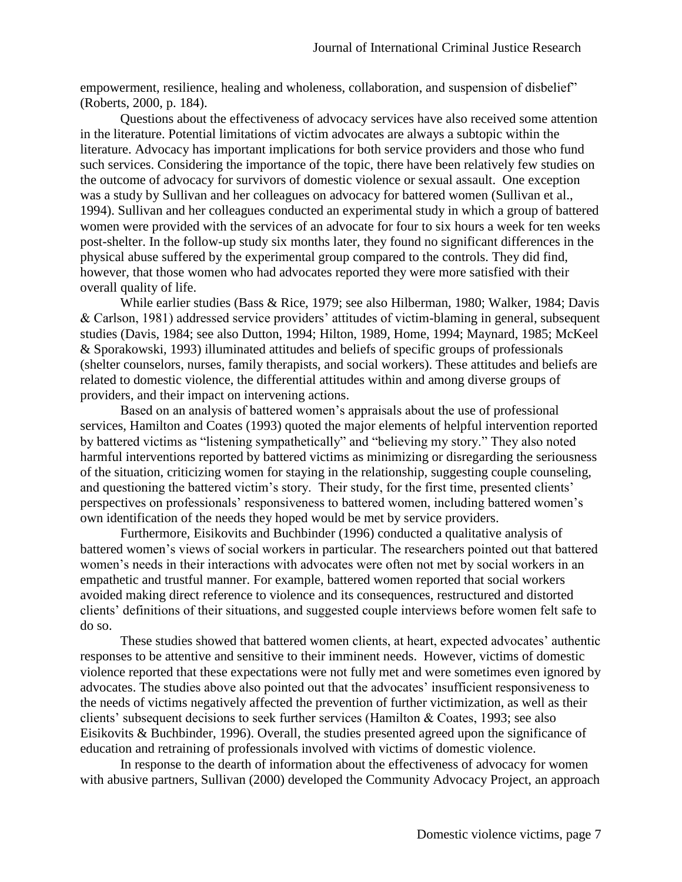empowerment, resilience, healing and wholeness, collaboration, and suspension of disbelief" (Roberts, 2000, p. 184).

Questions about the effectiveness of advocacy services have also received some attention in the literature. Potential limitations of victim advocates are always a subtopic within the literature. Advocacy has important implications for both service providers and those who fund such services. Considering the importance of the topic, there have been relatively few studies on the outcome of advocacy for survivors of domestic violence or sexual assault. One exception was a study by Sullivan and her colleagues on advocacy for battered women (Sullivan et al., 1994). Sullivan and her colleagues conducted an experimental study in which a group of battered women were provided with the services of an advocate for four to six hours a week for ten weeks post-shelter. In the follow-up study six months later, they found no significant differences in the physical abuse suffered by the experimental group compared to the controls. They did find, however, that those women who had advocates reported they were more satisfied with their overall quality of life.

While earlier studies (Bass & Rice, 1979; see also Hilberman, 1980; Walker, 1984; Davis & Carlson, 1981) addressed service providers' attitudes of victim-blaming in general, subsequent studies (Davis, 1984; see also Dutton, 1994; Hilton, 1989, Home, 1994; Maynard, 1985; McKeel & Sporakowski, 1993) illuminated attitudes and beliefs of specific groups of professionals (shelter counselors, nurses, family therapists, and social workers). These attitudes and beliefs are related to domestic violence, the differential attitudes within and among diverse groups of providers, and their impact on intervening actions.

Based on an analysis of battered women's appraisals about the use of professional services, Hamilton and Coates (1993) quoted the major elements of helpful intervention reported by battered victims as "listening sympathetically" and "believing my story." They also noted harmful interventions reported by battered victims as minimizing or disregarding the seriousness of the situation, criticizing women for staying in the relationship, suggesting couple counseling, and questioning the battered victim's story. Their study, for the first time, presented clients' perspectives on professionals' responsiveness to battered women, including battered women's own identification of the needs they hoped would be met by service providers.

Furthermore, Eisikovits and Buchbinder (1996) conducted a qualitative analysis of battered women's views of social workers in particular. The researchers pointed out that battered women's needs in their interactions with advocates were often not met by social workers in an empathetic and trustful manner. For example, battered women reported that social workers avoided making direct reference to violence and its consequences, restructured and distorted clients' definitions of their situations, and suggested couple interviews before women felt safe to do so.

These studies showed that battered women clients, at heart, expected advocates' authentic responses to be attentive and sensitive to their imminent needs. However, victims of domestic violence reported that these expectations were not fully met and were sometimes even ignored by advocates. The studies above also pointed out that the advocates' insufficient responsiveness to the needs of victims negatively affected the prevention of further victimization, as well as their clients' subsequent decisions to seek further services (Hamilton & Coates, 1993; see also Eisikovits & Buchbinder, 1996). Overall, the studies presented agreed upon the significance of education and retraining of professionals involved with victims of domestic violence.

In response to the dearth of information about the effectiveness of advocacy for women with abusive partners, Sullivan (2000) developed the Community Advocacy Project, an approach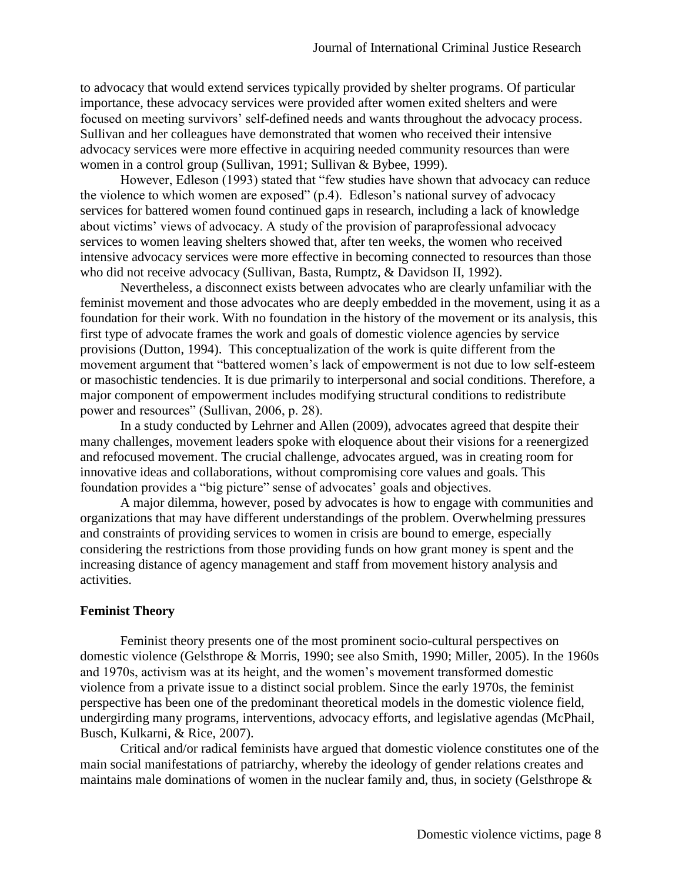to advocacy that would extend services typically provided by shelter programs. Of particular importance, these advocacy services were provided after women exited shelters and were focused on meeting survivors' self-defined needs and wants throughout the advocacy process. Sullivan and her colleagues have demonstrated that women who received their intensive advocacy services were more effective in acquiring needed community resources than were women in a control group (Sullivan, 1991; Sullivan & Bybee, 1999).

However, Edleson (1993) stated that "few studies have shown that advocacy can reduce the violence to which women are exposed" (p.4). Edleson's national survey of advocacy services for battered women found continued gaps in research, including a lack of knowledge about victims' views of advocacy. A study of the provision of paraprofessional advocacy services to women leaving shelters showed that, after ten weeks, the women who received intensive advocacy services were more effective in becoming connected to resources than those who did not receive advocacy (Sullivan, Basta, Rumptz, & Davidson II, 1992).

Nevertheless, a disconnect exists between advocates who are clearly unfamiliar with the feminist movement and those advocates who are deeply embedded in the movement, using it as a foundation for their work. With no foundation in the history of the movement or its analysis, this first type of advocate frames the work and goals of domestic violence agencies by service provisions (Dutton, 1994). This conceptualization of the work is quite different from the movement argument that "battered women's lack of empowerment is not due to low self-esteem or masochistic tendencies. It is due primarily to interpersonal and social conditions. Therefore, a major component of empowerment includes modifying structural conditions to redistribute power and resources" (Sullivan, 2006, p. 28).

In a study conducted by Lehrner and Allen (2009), advocates agreed that despite their many challenges, movement leaders spoke with eloquence about their visions for a reenergized and refocused movement. The crucial challenge, advocates argued, was in creating room for innovative ideas and collaborations, without compromising core values and goals. This foundation provides a "big picture" sense of advocates' goals and objectives.

A major dilemma, however, posed by advocates is how to engage with communities and organizations that may have different understandings of the problem. Overwhelming pressures and constraints of providing services to women in crisis are bound to emerge, especially considering the restrictions from those providing funds on how grant money is spent and the increasing distance of agency management and staff from movement history analysis and activities.

# **Feminist Theory**

Feminist theory presents one of the most prominent socio-cultural perspectives on domestic violence (Gelsthrope & Morris, 1990; see also Smith, 1990; Miller, 2005). In the 1960s and 1970s, activism was at its height, and the women's movement transformed domestic violence from a private issue to a distinct social problem. Since the early 1970s, the feminist perspective has been one of the predominant theoretical models in the domestic violence field, undergirding many programs, interventions, advocacy efforts, and legislative agendas (McPhail, Busch, Kulkarni, & Rice, 2007).

Critical and/or radical feminists have argued that domestic violence constitutes one of the main social manifestations of patriarchy, whereby the ideology of gender relations creates and maintains male dominations of women in the nuclear family and, thus, in society (Gelsthrope  $\&$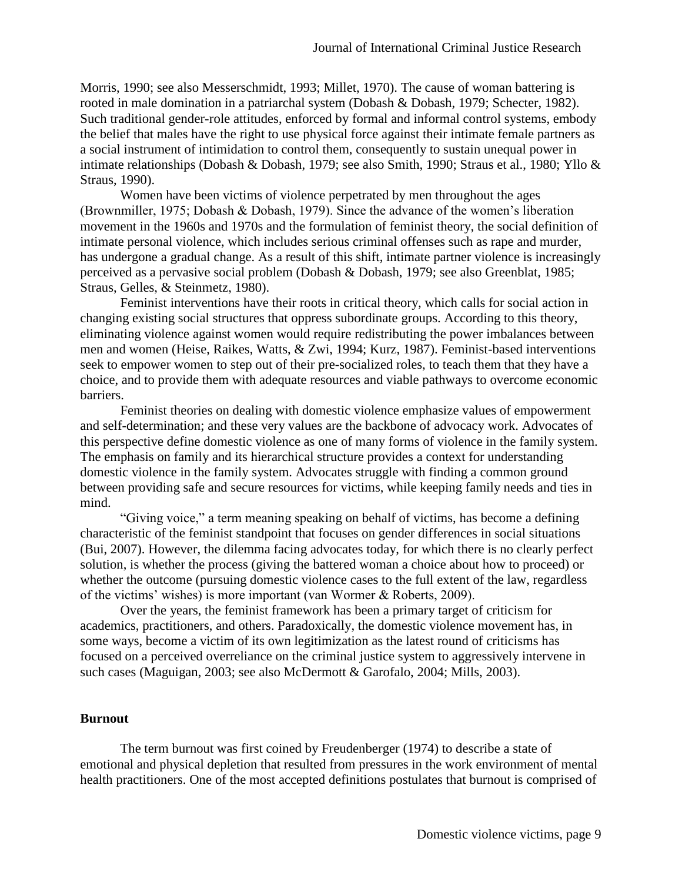Morris, 1990; see also Messerschmidt, 1993; Millet, 1970). The cause of woman battering is rooted in male domination in a patriarchal system (Dobash & Dobash, 1979; Schecter, 1982). Such traditional gender-role attitudes, enforced by formal and informal control systems, embody the belief that males have the right to use physical force against their intimate female partners as a social instrument of intimidation to control them, consequently to sustain unequal power in intimate relationships (Dobash & Dobash, 1979; see also Smith, 1990; Straus et al., 1980; Yllo & Straus, 1990).

Women have been victims of violence perpetrated by men throughout the ages (Brownmiller, 1975; Dobash & Dobash, 1979). Since the advance of the women's liberation movement in the 1960s and 1970s and the formulation of feminist theory, the social definition of intimate personal violence, which includes serious criminal offenses such as rape and murder, has undergone a gradual change. As a result of this shift, intimate partner violence is increasingly perceived as a pervasive social problem (Dobash & Dobash, 1979; see also Greenblat, 1985; Straus, Gelles, & Steinmetz, 1980).

Feminist interventions have their roots in critical theory, which calls for social action in changing existing social structures that oppress subordinate groups. According to this theory, eliminating violence against women would require redistributing the power imbalances between men and women (Heise, Raikes, Watts, & Zwi, 1994; Kurz, 1987). Feminist-based interventions seek to empower women to step out of their pre-socialized roles, to teach them that they have a choice, and to provide them with adequate resources and viable pathways to overcome economic barriers.

Feminist theories on dealing with domestic violence emphasize values of empowerment and self-determination; and these very values are the backbone of advocacy work. Advocates of this perspective define domestic violence as one of many forms of violence in the family system. The emphasis on family and its hierarchical structure provides a context for understanding domestic violence in the family system. Advocates struggle with finding a common ground between providing safe and secure resources for victims, while keeping family needs and ties in mind.

"Giving voice," a term meaning speaking on behalf of victims, has become a defining characteristic of the feminist standpoint that focuses on gender differences in social situations (Bui, 2007). However, the dilemma facing advocates today, for which there is no clearly perfect solution, is whether the process (giving the battered woman a choice about how to proceed) or whether the outcome (pursuing domestic violence cases to the full extent of the law, regardless of the victims' wishes) is more important (van Wormer & Roberts, 2009).

Over the years, the feminist framework has been a primary target of criticism for academics, practitioners, and others. Paradoxically, the domestic violence movement has, in some ways, become a victim of its own legitimization as the latest round of criticisms has focused on a perceived overreliance on the criminal justice system to aggressively intervene in such cases (Maguigan, 2003; see also McDermott & Garofalo, 2004; Mills, 2003).

#### **Burnout**

The term burnout was first coined by Freudenberger (1974) to describe a state of emotional and physical depletion that resulted from pressures in the work environment of mental health practitioners. One of the most accepted definitions postulates that burnout is comprised of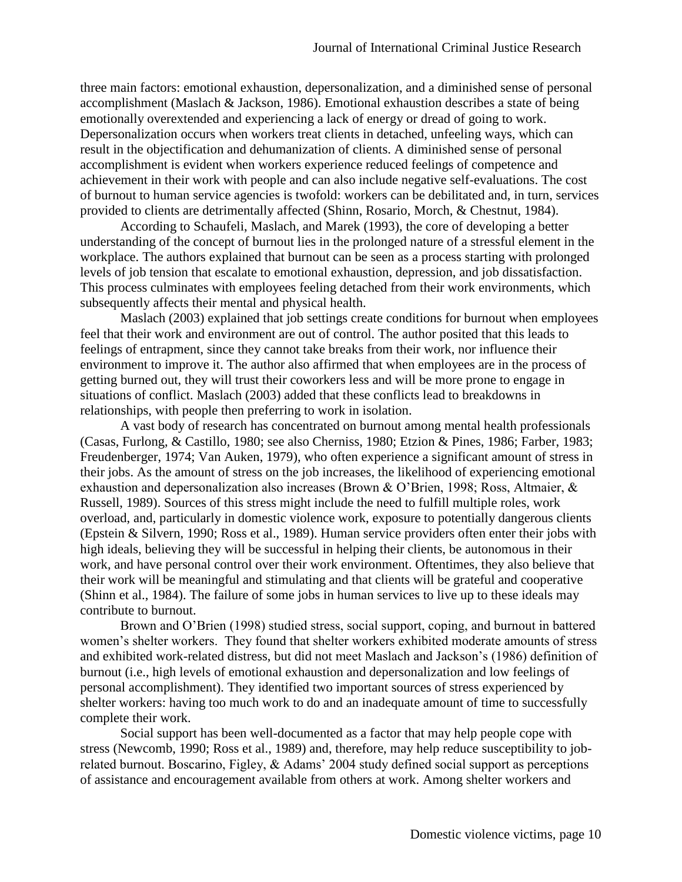three main factors: emotional exhaustion, depersonalization, and a diminished sense of personal accomplishment (Maslach & Jackson, 1986). Emotional exhaustion describes a state of being emotionally overextended and experiencing a lack of energy or dread of going to work. Depersonalization occurs when workers treat clients in detached, unfeeling ways, which can result in the objectification and dehumanization of clients. A diminished sense of personal accomplishment is evident when workers experience reduced feelings of competence and achievement in their work with people and can also include negative self-evaluations. The cost of burnout to human service agencies is twofold: workers can be debilitated and, in turn, services provided to clients are detrimentally affected (Shinn, Rosario, Morch, & Chestnut, 1984).

According to Schaufeli, Maslach, and Marek (1993), the core of developing a better understanding of the concept of burnout lies in the prolonged nature of a stressful element in the workplace. The authors explained that burnout can be seen as a process starting with prolonged levels of job tension that escalate to emotional exhaustion, depression, and job dissatisfaction. This process culminates with employees feeling detached from their work environments, which subsequently affects their mental and physical health.

Maslach (2003) explained that job settings create conditions for burnout when employees feel that their work and environment are out of control. The author posited that this leads to feelings of entrapment, since they cannot take breaks from their work, nor influence their environment to improve it. The author also affirmed that when employees are in the process of getting burned out, they will trust their coworkers less and will be more prone to engage in situations of conflict. Maslach (2003) added that these conflicts lead to breakdowns in relationships, with people then preferring to work in isolation.

A vast body of research has concentrated on burnout among mental health professionals (Casas, Furlong, & Castillo, 1980; see also Cherniss, 1980; Etzion & Pines, 1986; Farber, 1983; Freudenberger, 1974; Van Auken, 1979), who often experience a significant amount of stress in their jobs. As the amount of stress on the job increases, the likelihood of experiencing emotional exhaustion and depersonalization also increases (Brown & O'Brien, 1998; Ross, Altmaier, & Russell, 1989). Sources of this stress might include the need to fulfill multiple roles, work overload, and, particularly in domestic violence work, exposure to potentially dangerous clients (Epstein & Silvern, 1990; Ross et al., 1989). Human service providers often enter their jobs with high ideals, believing they will be successful in helping their clients, be autonomous in their work, and have personal control over their work environment. Oftentimes, they also believe that their work will be meaningful and stimulating and that clients will be grateful and cooperative (Shinn et al., 1984). The failure of some jobs in human services to live up to these ideals may contribute to burnout.

Brown and O'Brien (1998) studied stress, social support, coping, and burnout in battered women's shelter workers. They found that shelter workers exhibited moderate amounts of stress and exhibited work-related distress, but did not meet Maslach and Jackson's (1986) definition of burnout (i.e., high levels of emotional exhaustion and depersonalization and low feelings of personal accomplishment). They identified two important sources of stress experienced by shelter workers: having too much work to do and an inadequate amount of time to successfully complete their work.

Social support has been well-documented as a factor that may help people cope with stress (Newcomb, 1990; Ross et al., 1989) and, therefore, may help reduce susceptibility to jobrelated burnout. Boscarino, Figley, & Adams' 2004 study defined social support as perceptions of assistance and encouragement available from others at work. Among shelter workers and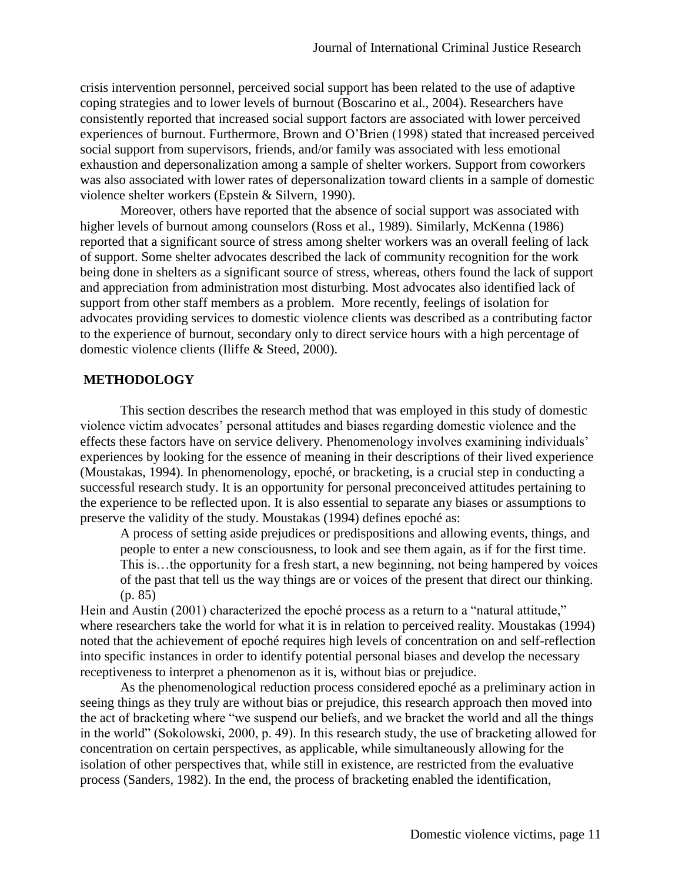crisis intervention personnel, perceived social support has been related to the use of adaptive coping strategies and to lower levels of burnout (Boscarino et al., 2004). Researchers have consistently reported that increased social support factors are associated with lower perceived experiences of burnout. Furthermore, Brown and O'Brien (1998) stated that increased perceived social support from supervisors, friends, and/or family was associated with less emotional exhaustion and depersonalization among a sample of shelter workers. Support from coworkers was also associated with lower rates of depersonalization toward clients in a sample of domestic violence shelter workers (Epstein & Silvern, 1990).

Moreover, others have reported that the absence of social support was associated with higher levels of burnout among counselors (Ross et al., 1989). Similarly, McKenna (1986) reported that a significant source of stress among shelter workers was an overall feeling of lack of support. Some shelter advocates described the lack of community recognition for the work being done in shelters as a significant source of stress, whereas, others found the lack of support and appreciation from administration most disturbing. Most advocates also identified lack of support from other staff members as a problem. More recently, feelings of isolation for advocates providing services to domestic violence clients was described as a contributing factor to the experience of burnout, secondary only to direct service hours with a high percentage of domestic violence clients (Iliffe & Steed, 2000).

#### **METHODOLOGY**

This section describes the research method that was employed in this study of domestic violence victim advocates' personal attitudes and biases regarding domestic violence and the effects these factors have on service delivery. Phenomenology involves examining individuals' experiences by looking for the essence of meaning in their descriptions of their lived experience (Moustakas, 1994). In phenomenology, epoché, or bracketing, is a crucial step in conducting a successful research study. It is an opportunity for personal preconceived attitudes pertaining to the experience to be reflected upon. It is also essential to separate any biases or assumptions to preserve the validity of the study. Moustakas (1994) defines epoché as:

A process of setting aside prejudices or predispositions and allowing events, things, and people to enter a new consciousness, to look and see them again, as if for the first time. This is…the opportunity for a fresh start, a new beginning, not being hampered by voices of the past that tell us the way things are or voices of the present that direct our thinking. (p. 85)

Hein and Austin (2001) characterized the epoché process as a return to a "natural attitude," where researchers take the world for what it is in relation to perceived reality. Moustakas (1994) noted that the achievement of epoché requires high levels of concentration on and self-reflection into specific instances in order to identify potential personal biases and develop the necessary receptiveness to interpret a phenomenon as it is, without bias or prejudice.

As the phenomenological reduction process considered epoché as a preliminary action in seeing things as they truly are without bias or prejudice, this research approach then moved into the act of bracketing where "we suspend our beliefs, and we bracket the world and all the things in the world" (Sokolowski, 2000, p. 49). In this research study, the use of bracketing allowed for concentration on certain perspectives, as applicable, while simultaneously allowing for the isolation of other perspectives that, while still in existence, are restricted from the evaluative process (Sanders, 1982). In the end, the process of bracketing enabled the identification,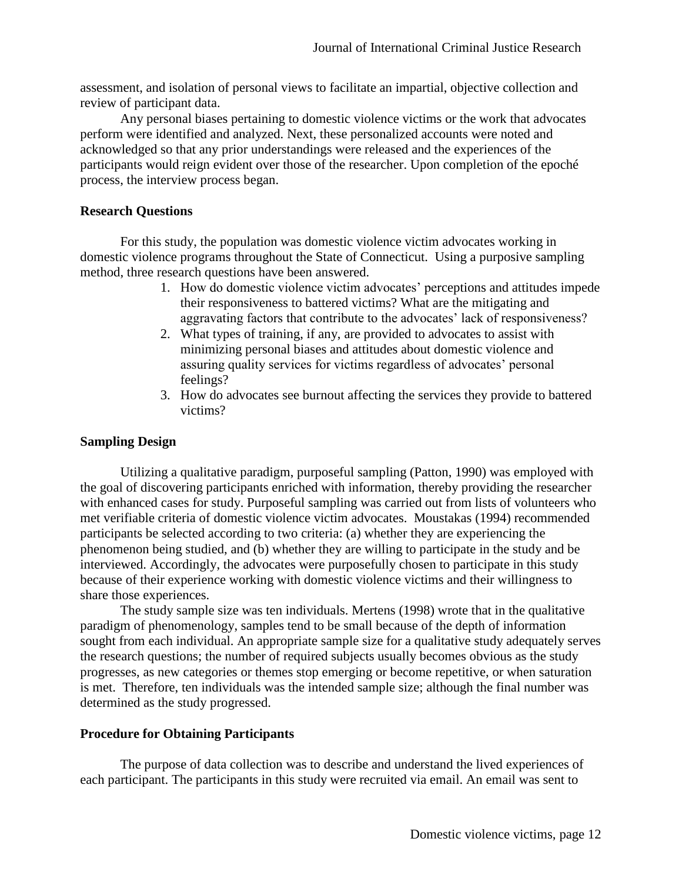assessment, and isolation of personal views to facilitate an impartial, objective collection and review of participant data.

Any personal biases pertaining to domestic violence victims or the work that advocates perform were identified and analyzed. Next, these personalized accounts were noted and acknowledged so that any prior understandings were released and the experiences of the participants would reign evident over those of the researcher. Upon completion of the epoché process, the interview process began.

# **Research Questions**

For this study, the population was domestic violence victim advocates working in domestic violence programs throughout the State of Connecticut. Using a purposive sampling method, three research questions have been answered.

- 1. How do domestic violence victim advocates' perceptions and attitudes impede their responsiveness to battered victims? What are the mitigating and aggravating factors that contribute to the advocates' lack of responsiveness?
- 2. What types of training, if any, are provided to advocates to assist with minimizing personal biases and attitudes about domestic violence and assuring quality services for victims regardless of advocates' personal feelings?
- 3. How do advocates see burnout affecting the services they provide to battered victims?

# **Sampling Design**

Utilizing a qualitative paradigm, purposeful sampling (Patton, 1990) was employed with the goal of discovering participants enriched with information, thereby providing the researcher with enhanced cases for study. Purposeful sampling was carried out from lists of volunteers who met verifiable criteria of domestic violence victim advocates. Moustakas (1994) recommended participants be selected according to two criteria: (a) whether they are experiencing the phenomenon being studied, and (b) whether they are willing to participate in the study and be interviewed. Accordingly, the advocates were purposefully chosen to participate in this study because of their experience working with domestic violence victims and their willingness to share those experiences.

The study sample size was ten individuals. Mertens (1998) wrote that in the qualitative paradigm of phenomenology, samples tend to be small because of the depth of information sought from each individual. An appropriate sample size for a qualitative study adequately serves the research questions; the number of required subjects usually becomes obvious as the study progresses, as new categories or themes stop emerging or become repetitive, or when saturation is met. Therefore, ten individuals was the intended sample size; although the final number was determined as the study progressed.

# **Procedure for Obtaining Participants**

The purpose of data collection was to describe and understand the lived experiences of each participant. The participants in this study were recruited via email. An email was sent to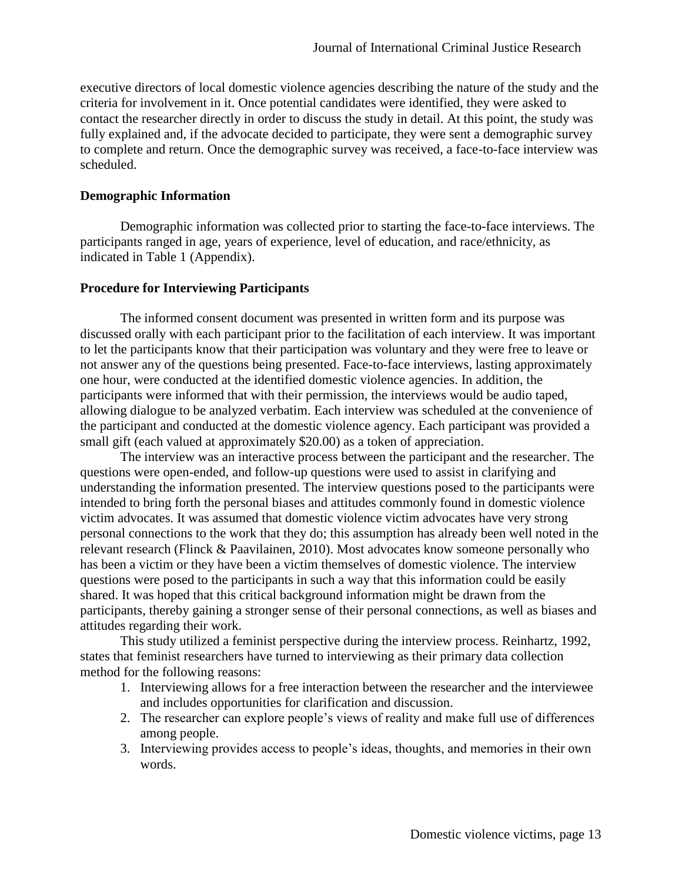executive directors of local domestic violence agencies describing the nature of the study and the criteria for involvement in it. Once potential candidates were identified, they were asked to contact the researcher directly in order to discuss the study in detail. At this point, the study was fully explained and, if the advocate decided to participate, they were sent a demographic survey to complete and return. Once the demographic survey was received, a face-to-face interview was scheduled.

# **Demographic Information**

Demographic information was collected prior to starting the face-to-face interviews. The participants ranged in age, years of experience, level of education, and race/ethnicity, as indicated in Table 1 (Appendix).

# **Procedure for Interviewing Participants**

The informed consent document was presented in written form and its purpose was discussed orally with each participant prior to the facilitation of each interview. It was important to let the participants know that their participation was voluntary and they were free to leave or not answer any of the questions being presented. Face-to-face interviews, lasting approximately one hour, were conducted at the identified domestic violence agencies. In addition, the participants were informed that with their permission, the interviews would be audio taped, allowing dialogue to be analyzed verbatim. Each interview was scheduled at the convenience of the participant and conducted at the domestic violence agency. Each participant was provided a small gift (each valued at approximately \$20.00) as a token of appreciation.

The interview was an interactive process between the participant and the researcher. The questions were open-ended, and follow-up questions were used to assist in clarifying and understanding the information presented. The interview questions posed to the participants were intended to bring forth the personal biases and attitudes commonly found in domestic violence victim advocates. It was assumed that domestic violence victim advocates have very strong personal connections to the work that they do; this assumption has already been well noted in the relevant research (Flinck & Paavilainen, 2010). Most advocates know someone personally who has been a victim or they have been a victim themselves of domestic violence. The interview questions were posed to the participants in such a way that this information could be easily shared. It was hoped that this critical background information might be drawn from the participants, thereby gaining a stronger sense of their personal connections, as well as biases and attitudes regarding their work.

This study utilized a feminist perspective during the interview process. Reinhartz, 1992, states that feminist researchers have turned to interviewing as their primary data collection method for the following reasons:

- 1. Interviewing allows for a free interaction between the researcher and the interviewee and includes opportunities for clarification and discussion.
- 2. The researcher can explore people's views of reality and make full use of differences among people.
- 3. Interviewing provides access to people's ideas, thoughts, and memories in their own words.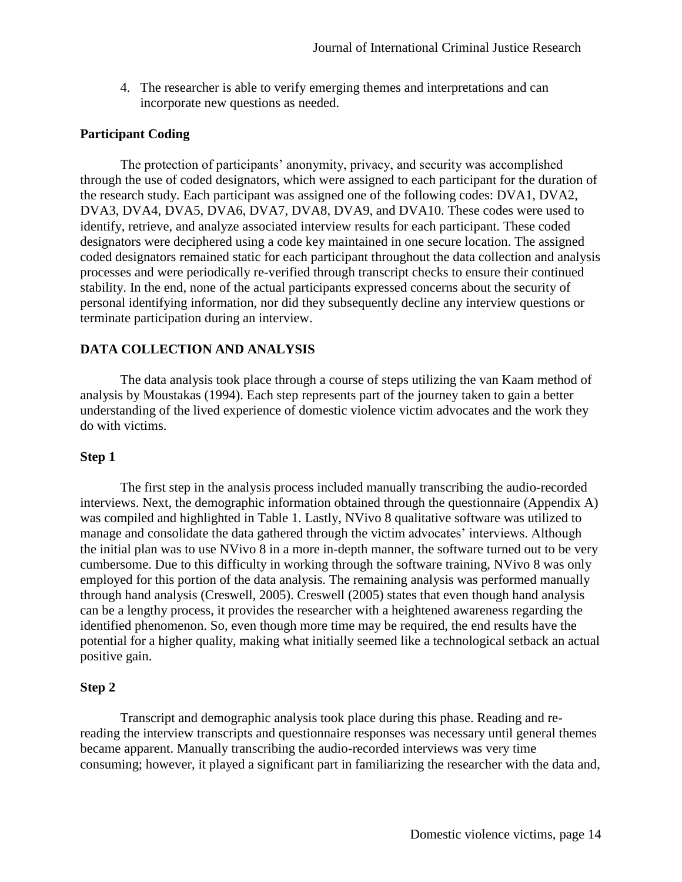4. The researcher is able to verify emerging themes and interpretations and can incorporate new questions as needed.

#### **Participant Coding**

The protection of participants' anonymity, privacy, and security was accomplished through the use of coded designators, which were assigned to each participant for the duration of the research study. Each participant was assigned one of the following codes: DVA1, DVA2, DVA3, DVA4, DVA5, DVA6, DVA7, DVA8, DVA9, and DVA10. These codes were used to identify, retrieve, and analyze associated interview results for each participant. These coded designators were deciphered using a code key maintained in one secure location. The assigned coded designators remained static for each participant throughout the data collection and analysis processes and were periodically re-verified through transcript checks to ensure their continued stability. In the end, none of the actual participants expressed concerns about the security of personal identifying information, nor did they subsequently decline any interview questions or terminate participation during an interview.

# **DATA COLLECTION AND ANALYSIS**

The data analysis took place through a course of steps utilizing the van Kaam method of analysis by Moustakas (1994). Each step represents part of the journey taken to gain a better understanding of the lived experience of domestic violence victim advocates and the work they do with victims.

#### **Step 1**

The first step in the analysis process included manually transcribing the audio-recorded interviews. Next, the demographic information obtained through the questionnaire (Appendix A) was compiled and highlighted in Table 1. Lastly, NVivo 8 qualitative software was utilized to manage and consolidate the data gathered through the victim advocates' interviews. Although the initial plan was to use NVivo 8 in a more in-depth manner, the software turned out to be very cumbersome. Due to this difficulty in working through the software training, NVivo 8 was only employed for this portion of the data analysis. The remaining analysis was performed manually through hand analysis (Creswell, 2005). Creswell (2005) states that even though hand analysis can be a lengthy process, it provides the researcher with a heightened awareness regarding the identified phenomenon. So, even though more time may be required, the end results have the potential for a higher quality, making what initially seemed like a technological setback an actual positive gain.

#### **Step 2**

Transcript and demographic analysis took place during this phase. Reading and rereading the interview transcripts and questionnaire responses was necessary until general themes became apparent. Manually transcribing the audio-recorded interviews was very time consuming; however, it played a significant part in familiarizing the researcher with the data and,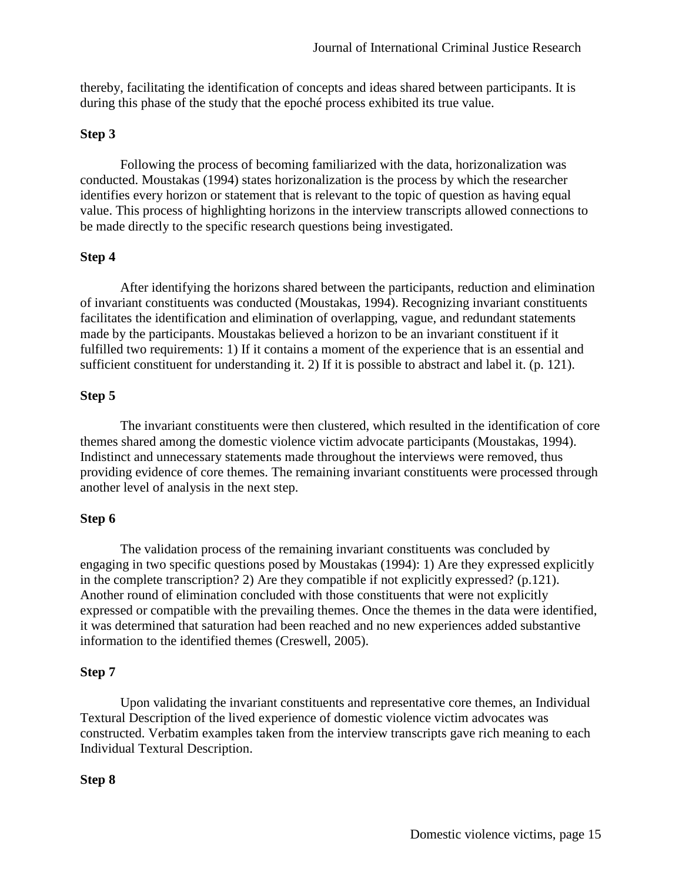thereby, facilitating the identification of concepts and ideas shared between participants. It is during this phase of the study that the epoché process exhibited its true value.

#### **Step 3**

Following the process of becoming familiarized with the data, horizonalization was conducted. Moustakas (1994) states horizonalization is the process by which the researcher identifies every horizon or statement that is relevant to the topic of question as having equal value. This process of highlighting horizons in the interview transcripts allowed connections to be made directly to the specific research questions being investigated.

# **Step 4**

After identifying the horizons shared between the participants, reduction and elimination of invariant constituents was conducted (Moustakas, 1994). Recognizing invariant constituents facilitates the identification and elimination of overlapping, vague, and redundant statements made by the participants. Moustakas believed a horizon to be an invariant constituent if it fulfilled two requirements: 1) If it contains a moment of the experience that is an essential and sufficient constituent for understanding it. 2) If it is possible to abstract and label it. (p. 121).

#### **Step 5**

The invariant constituents were then clustered, which resulted in the identification of core themes shared among the domestic violence victim advocate participants (Moustakas, 1994). Indistinct and unnecessary statements made throughout the interviews were removed, thus providing evidence of core themes. The remaining invariant constituents were processed through another level of analysis in the next step.

#### **Step 6**

The validation process of the remaining invariant constituents was concluded by engaging in two specific questions posed by Moustakas (1994): 1) Are they expressed explicitly in the complete transcription? 2) Are they compatible if not explicitly expressed? (p.121). Another round of elimination concluded with those constituents that were not explicitly expressed or compatible with the prevailing themes. Once the themes in the data were identified, it was determined that saturation had been reached and no new experiences added substantive information to the identified themes (Creswell, 2005).

#### **Step 7**

Upon validating the invariant constituents and representative core themes, an Individual Textural Description of the lived experience of domestic violence victim advocates was constructed. Verbatim examples taken from the interview transcripts gave rich meaning to each Individual Textural Description.

#### **Step 8**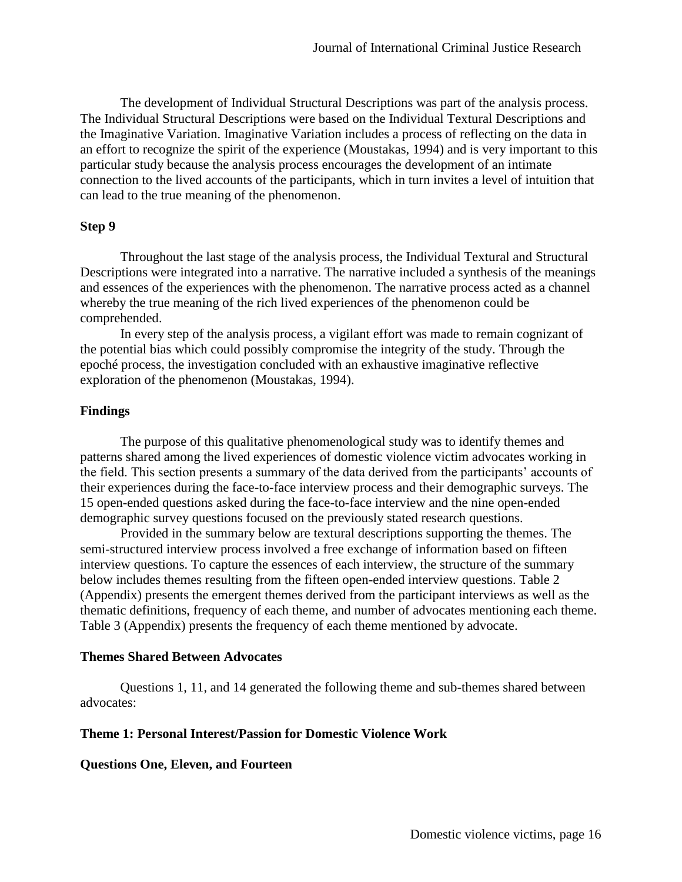The development of Individual Structural Descriptions was part of the analysis process. The Individual Structural Descriptions were based on the Individual Textural Descriptions and the Imaginative Variation. Imaginative Variation includes a process of reflecting on the data in an effort to recognize the spirit of the experience (Moustakas, 1994) and is very important to this particular study because the analysis process encourages the development of an intimate connection to the lived accounts of the participants, which in turn invites a level of intuition that can lead to the true meaning of the phenomenon.

#### **Step 9**

Throughout the last stage of the analysis process, the Individual Textural and Structural Descriptions were integrated into a narrative. The narrative included a synthesis of the meanings and essences of the experiences with the phenomenon. The narrative process acted as a channel whereby the true meaning of the rich lived experiences of the phenomenon could be comprehended.

In every step of the analysis process, a vigilant effort was made to remain cognizant of the potential bias which could possibly compromise the integrity of the study. Through the epoché process, the investigation concluded with an exhaustive imaginative reflective exploration of the phenomenon (Moustakas, 1994).

# **Findings**

The purpose of this qualitative phenomenological study was to identify themes and patterns shared among the lived experiences of domestic violence victim advocates working in the field. This section presents a summary of the data derived from the participants' accounts of their experiences during the face-to-face interview process and their demographic surveys. The 15 open-ended questions asked during the face-to-face interview and the nine open-ended demographic survey questions focused on the previously stated research questions.

Provided in the summary below are textural descriptions supporting the themes. The semi-structured interview process involved a free exchange of information based on fifteen interview questions. To capture the essences of each interview, the structure of the summary below includes themes resulting from the fifteen open-ended interview questions. Table 2 (Appendix) presents the emergent themes derived from the participant interviews as well as the thematic definitions, frequency of each theme, and number of advocates mentioning each theme. Table 3 (Appendix) presents the frequency of each theme mentioned by advocate.

#### **Themes Shared Between Advocates**

Questions 1, 11, and 14 generated the following theme and sub-themes shared between advocates:

# **Theme 1: Personal Interest/Passion for Domestic Violence Work**

#### **Questions One, Eleven, and Fourteen**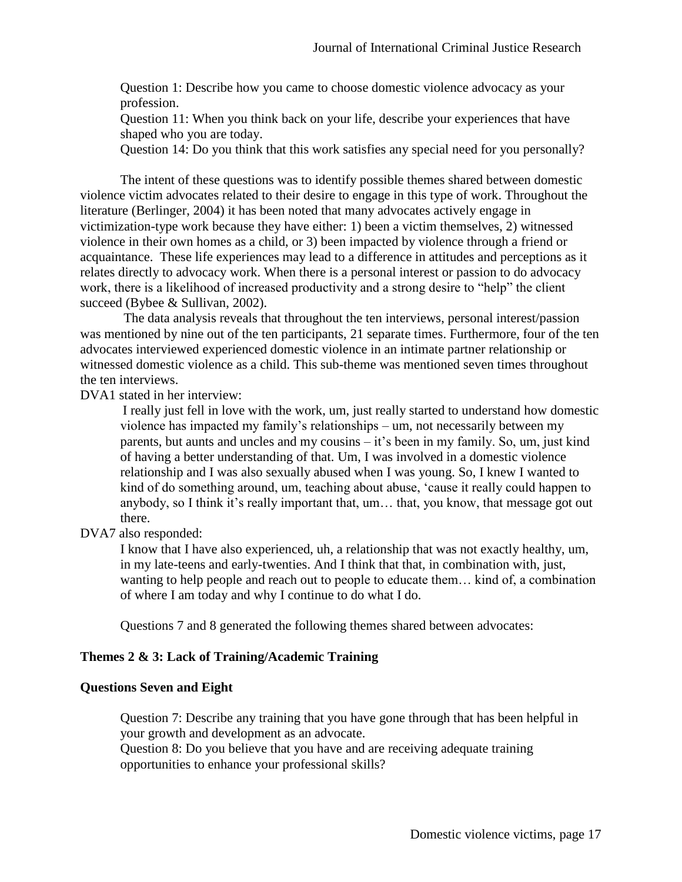Question 1: Describe how you came to choose domestic violence advocacy as your profession.

Question 11: When you think back on your life, describe your experiences that have shaped who you are today.

Question 14: Do you think that this work satisfies any special need for you personally?

The intent of these questions was to identify possible themes shared between domestic violence victim advocates related to their desire to engage in this type of work. Throughout the literature (Berlinger, 2004) it has been noted that many advocates actively engage in victimization-type work because they have either: 1) been a victim themselves, 2) witnessed violence in their own homes as a child, or 3) been impacted by violence through a friend or acquaintance. These life experiences may lead to a difference in attitudes and perceptions as it relates directly to advocacy work. When there is a personal interest or passion to do advocacy work, there is a likelihood of increased productivity and a strong desire to "help" the client succeed (Bybee & Sullivan, 2002).

The data analysis reveals that throughout the ten interviews, personal interest/passion was mentioned by nine out of the ten participants, 21 separate times. Furthermore, four of the ten advocates interviewed experienced domestic violence in an intimate partner relationship or witnessed domestic violence as a child. This sub-theme was mentioned seven times throughout the ten interviews.

DVA1 stated in her interview:

I really just fell in love with the work, um, just really started to understand how domestic violence has impacted my family's relationships – um, not necessarily between my parents, but aunts and uncles and my cousins – it's been in my family. So, um, just kind of having a better understanding of that. Um, I was involved in a domestic violence relationship and I was also sexually abused when I was young. So, I knew I wanted to kind of do something around, um, teaching about abuse, 'cause it really could happen to anybody, so I think it's really important that, um… that, you know, that message got out there.

DVA7 also responded:

I know that I have also experienced, uh, a relationship that was not exactly healthy, um, in my late-teens and early-twenties. And I think that that, in combination with, just, wanting to help people and reach out to people to educate them... kind of, a combination of where I am today and why I continue to do what I do.

Questions 7 and 8 generated the following themes shared between advocates:

# **Themes 2 & 3: Lack of Training/Academic Training**

#### **Questions Seven and Eight**

Question 7: Describe any training that you have gone through that has been helpful in your growth and development as an advocate.

Question 8: Do you believe that you have and are receiving adequate training opportunities to enhance your professional skills?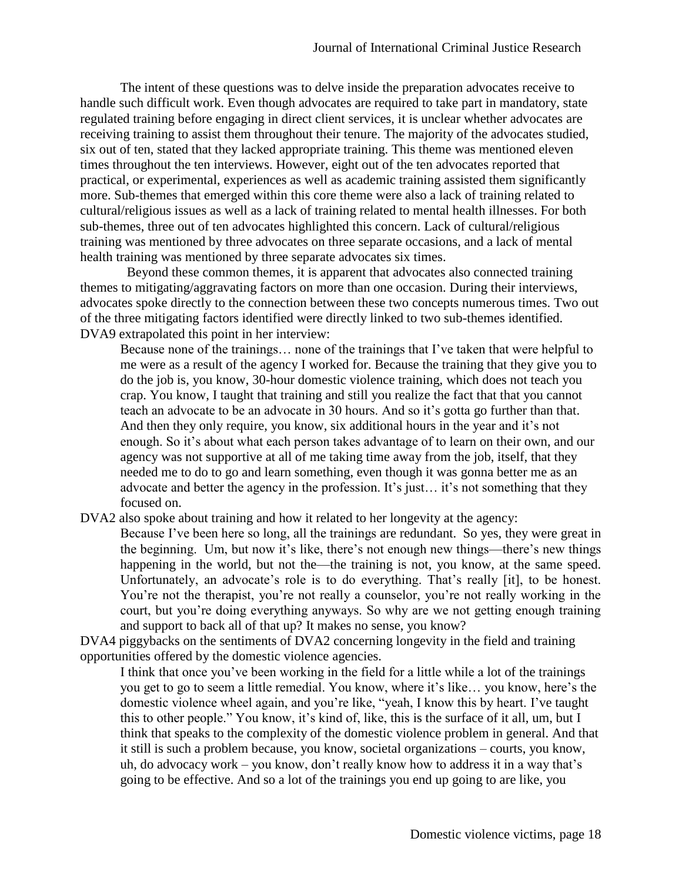The intent of these questions was to delve inside the preparation advocates receive to handle such difficult work. Even though advocates are required to take part in mandatory, state regulated training before engaging in direct client services, it is unclear whether advocates are receiving training to assist them throughout their tenure. The majority of the advocates studied, six out of ten, stated that they lacked appropriate training. This theme was mentioned eleven times throughout the ten interviews. However, eight out of the ten advocates reported that practical, or experimental, experiences as well as academic training assisted them significantly more. Sub-themes that emerged within this core theme were also a lack of training related to cultural/religious issues as well as a lack of training related to mental health illnesses. For both sub-themes, three out of ten advocates highlighted this concern. Lack of cultural/religious training was mentioned by three advocates on three separate occasions, and a lack of mental health training was mentioned by three separate advocates six times.

 Beyond these common themes, it is apparent that advocates also connected training themes to mitigating/aggravating factors on more than one occasion. During their interviews, advocates spoke directly to the connection between these two concepts numerous times. Two out of the three mitigating factors identified were directly linked to two sub-themes identified. DVA9 extrapolated this point in her interview:

Because none of the trainings… none of the trainings that I've taken that were helpful to me were as a result of the agency I worked for. Because the training that they give you to do the job is, you know, 30-hour domestic violence training, which does not teach you crap. You know, I taught that training and still you realize the fact that that you cannot teach an advocate to be an advocate in 30 hours. And so it's gotta go further than that. And then they only require, you know, six additional hours in the year and it's not enough. So it's about what each person takes advantage of to learn on their own, and our agency was not supportive at all of me taking time away from the job, itself, that they needed me to do to go and learn something, even though it was gonna better me as an advocate and better the agency in the profession. It's just… it's not something that they focused on.

DVA2 also spoke about training and how it related to her longevity at the agency:

Because I've been here so long, all the trainings are redundant. So yes, they were great in the beginning. Um, but now it's like, there's not enough new things—there's new things happening in the world, but not the—the training is not, you know, at the same speed. Unfortunately, an advocate's role is to do everything. That's really [it], to be honest. You're not the therapist, you're not really a counselor, you're not really working in the court, but you're doing everything anyways. So why are we not getting enough training and support to back all of that up? It makes no sense, you know?

DVA4 piggybacks on the sentiments of DVA2 concerning longevity in the field and training opportunities offered by the domestic violence agencies.

I think that once you've been working in the field for a little while a lot of the trainings you get to go to seem a little remedial. You know, where it's like… you know, here's the domestic violence wheel again, and you're like, "yeah, I know this by heart. I've taught this to other people." You know, it's kind of, like, this is the surface of it all, um, but I think that speaks to the complexity of the domestic violence problem in general. And that it still is such a problem because, you know, societal organizations – courts, you know, uh, do advocacy work – you know, don't really know how to address it in a way that's going to be effective. And so a lot of the trainings you end up going to are like, you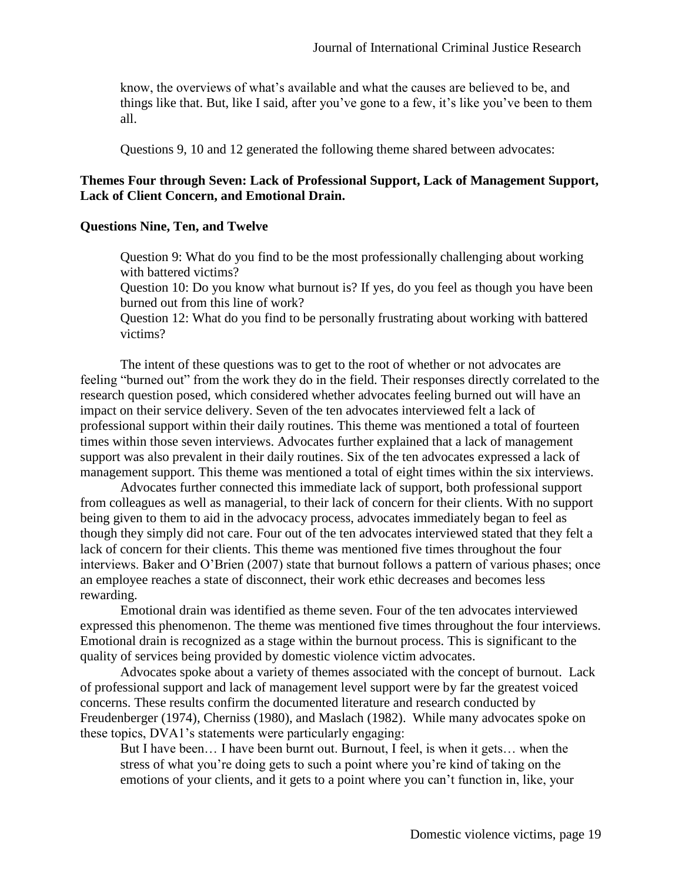know, the overviews of what's available and what the causes are believed to be, and things like that. But, like I said, after you've gone to a few, it's like you've been to them all.

Questions 9, 10 and 12 generated the following theme shared between advocates:

# **Themes Four through Seven: Lack of Professional Support, Lack of Management Support, Lack of Client Concern, and Emotional Drain.**

#### **Questions Nine, Ten, and Twelve**

Question 9: What do you find to be the most professionally challenging about working with battered victims?

Question 10: Do you know what burnout is? If yes, do you feel as though you have been burned out from this line of work?

Question 12: What do you find to be personally frustrating about working with battered victims?

The intent of these questions was to get to the root of whether or not advocates are feeling "burned out" from the work they do in the field. Their responses directly correlated to the research question posed, which considered whether advocates feeling burned out will have an impact on their service delivery. Seven of the ten advocates interviewed felt a lack of professional support within their daily routines. This theme was mentioned a total of fourteen times within those seven interviews. Advocates further explained that a lack of management support was also prevalent in their daily routines. Six of the ten advocates expressed a lack of management support. This theme was mentioned a total of eight times within the six interviews.

Advocates further connected this immediate lack of support, both professional support from colleagues as well as managerial, to their lack of concern for their clients. With no support being given to them to aid in the advocacy process, advocates immediately began to feel as though they simply did not care. Four out of the ten advocates interviewed stated that they felt a lack of concern for their clients. This theme was mentioned five times throughout the four interviews. Baker and O'Brien (2007) state that burnout follows a pattern of various phases; once an employee reaches a state of disconnect, their work ethic decreases and becomes less rewarding.

Emotional drain was identified as theme seven. Four of the ten advocates interviewed expressed this phenomenon. The theme was mentioned five times throughout the four interviews. Emotional drain is recognized as a stage within the burnout process. This is significant to the quality of services being provided by domestic violence victim advocates.

Advocates spoke about a variety of themes associated with the concept of burnout. Lack of professional support and lack of management level support were by far the greatest voiced concerns. These results confirm the documented literature and research conducted by Freudenberger (1974), Cherniss (1980), and Maslach (1982). While many advocates spoke on these topics, DVA1's statements were particularly engaging:

But I have been… I have been burnt out. Burnout, I feel, is when it gets… when the stress of what you're doing gets to such a point where you're kind of taking on the emotions of your clients, and it gets to a point where you can't function in, like, your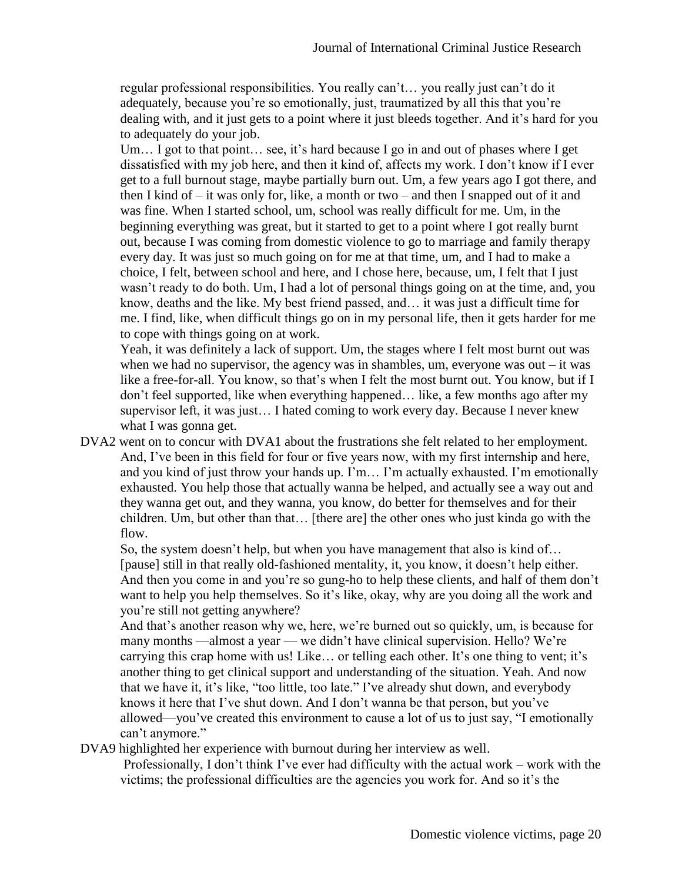regular professional responsibilities. You really can't… you really just can't do it adequately, because you're so emotionally, just, traumatized by all this that you're dealing with, and it just gets to a point where it just bleeds together. And it's hard for you to adequately do your job.

Um... I got to that point... see, it's hard because I go in and out of phases where I get dissatisfied with my job here, and then it kind of, affects my work. I don't know if I ever get to a full burnout stage, maybe partially burn out. Um, a few years ago I got there, and then I kind of – it was only for, like, a month or two – and then I snapped out of it and was fine. When I started school, um, school was really difficult for me. Um, in the beginning everything was great, but it started to get to a point where I got really burnt out, because I was coming from domestic violence to go to marriage and family therapy every day. It was just so much going on for me at that time, um, and I had to make a choice, I felt, between school and here, and I chose here, because, um, I felt that I just wasn't ready to do both. Um, I had a lot of personal things going on at the time, and, you know, deaths and the like. My best friend passed, and… it was just a difficult time for me. I find, like, when difficult things go on in my personal life, then it gets harder for me to cope with things going on at work.

Yeah, it was definitely a lack of support. Um, the stages where I felt most burnt out was when we had no supervisor, the agency was in shambles, um, everyone was out  $-$  it was like a free-for-all. You know, so that's when I felt the most burnt out. You know, but if I don't feel supported, like when everything happened… like, a few months ago after my supervisor left, it was just… I hated coming to work every day. Because I never knew what I was gonna get.

DVA2 went on to concur with DVA1 about the frustrations she felt related to her employment. And, I've been in this field for four or five years now, with my first internship and here, and you kind of just throw your hands up. I'm… I'm actually exhausted. I'm emotionally exhausted. You help those that actually wanna be helped, and actually see a way out and they wanna get out, and they wanna, you know, do better for themselves and for their children. Um, but other than that… [there are] the other ones who just kinda go with the flow.

So, the system doesn't help, but when you have management that also is kind of… [pause] still in that really old-fashioned mentality, it, you know, it doesn't help either. And then you come in and you're so gung-ho to help these clients, and half of them don't want to help you help themselves. So it's like, okay, why are you doing all the work and you're still not getting anywhere?

And that's another reason why we, here, we're burned out so quickly, um, is because for many months —almost a year — we didn't have clinical supervision. Hello? We're carrying this crap home with us! Like… or telling each other. It's one thing to vent; it's another thing to get clinical support and understanding of the situation. Yeah. And now that we have it, it's like, "too little, too late." I've already shut down, and everybody knows it here that I've shut down. And I don't wanna be that person, but you've allowed—you've created this environment to cause a lot of us to just say, "I emotionally can't anymore."

# DVA9 highlighted her experience with burnout during her interview as well.

Professionally, I don't think I've ever had difficulty with the actual work – work with the victims; the professional difficulties are the agencies you work for. And so it's the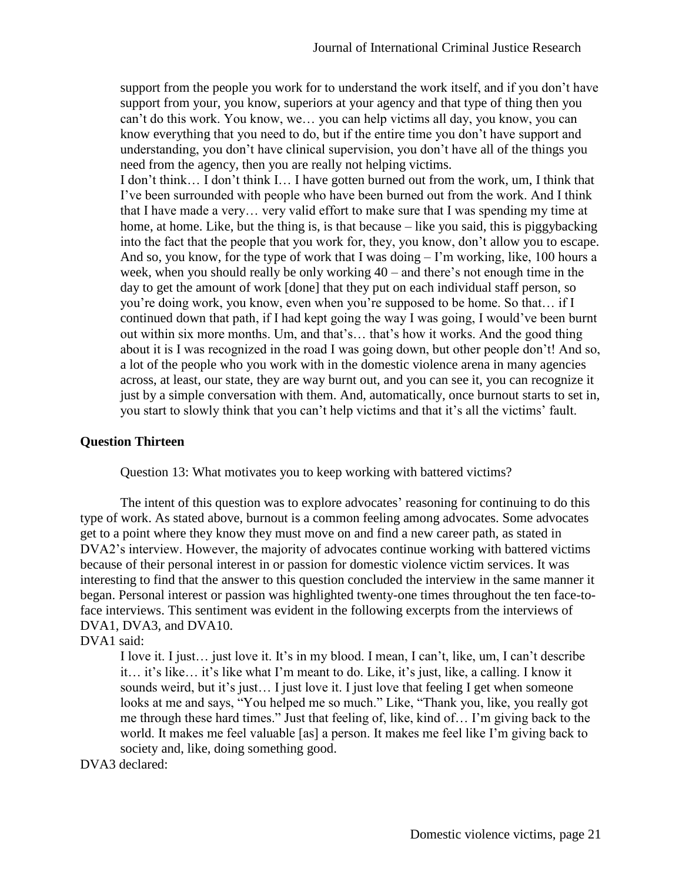support from the people you work for to understand the work itself, and if you don't have support from your, you know, superiors at your agency and that type of thing then you can't do this work. You know, we… you can help victims all day, you know, you can know everything that you need to do, but if the entire time you don't have support and understanding, you don't have clinical supervision, you don't have all of the things you need from the agency, then you are really not helping victims.

I don't think… I don't think I… I have gotten burned out from the work, um, I think that I've been surrounded with people who have been burned out from the work. And I think that I have made a very… very valid effort to make sure that I was spending my time at home, at home. Like, but the thing is, is that because – like you said, this is piggybacking into the fact that the people that you work for, they, you know, don't allow you to escape. And so, you know, for the type of work that I was doing – I'm working, like, 100 hours a week, when you should really be only working 40 – and there's not enough time in the day to get the amount of work [done] that they put on each individual staff person, so you're doing work, you know, even when you're supposed to be home. So that… if I continued down that path, if I had kept going the way I was going, I would've been burnt out within six more months. Um, and that's… that's how it works. And the good thing about it is I was recognized in the road I was going down, but other people don't! And so, a lot of the people who you work with in the domestic violence arena in many agencies across, at least, our state, they are way burnt out, and you can see it, you can recognize it just by a simple conversation with them. And, automatically, once burnout starts to set in, you start to slowly think that you can't help victims and that it's all the victims' fault.

#### **Question Thirteen**

Question 13: What motivates you to keep working with battered victims?

The intent of this question was to explore advocates' reasoning for continuing to do this type of work. As stated above, burnout is a common feeling among advocates. Some advocates get to a point where they know they must move on and find a new career path, as stated in DVA2's interview. However, the majority of advocates continue working with battered victims because of their personal interest in or passion for domestic violence victim services. It was interesting to find that the answer to this question concluded the interview in the same manner it began. Personal interest or passion was highlighted twenty-one times throughout the ten face-toface interviews. This sentiment was evident in the following excerpts from the interviews of DVA1, DVA3, and DVA10.

# DVA1 said:

I love it. I just… just love it. It's in my blood. I mean, I can't, like, um, I can't describe it… it's like… it's like what I'm meant to do. Like, it's just, like, a calling. I know it sounds weird, but it's just... I just love it. I just love that feeling I get when someone looks at me and says, "You helped me so much." Like, "Thank you, like, you really got me through these hard times." Just that feeling of, like, kind of… I'm giving back to the world. It makes me feel valuable [as] a person. It makes me feel like I'm giving back to society and, like, doing something good.

DVA3 declared: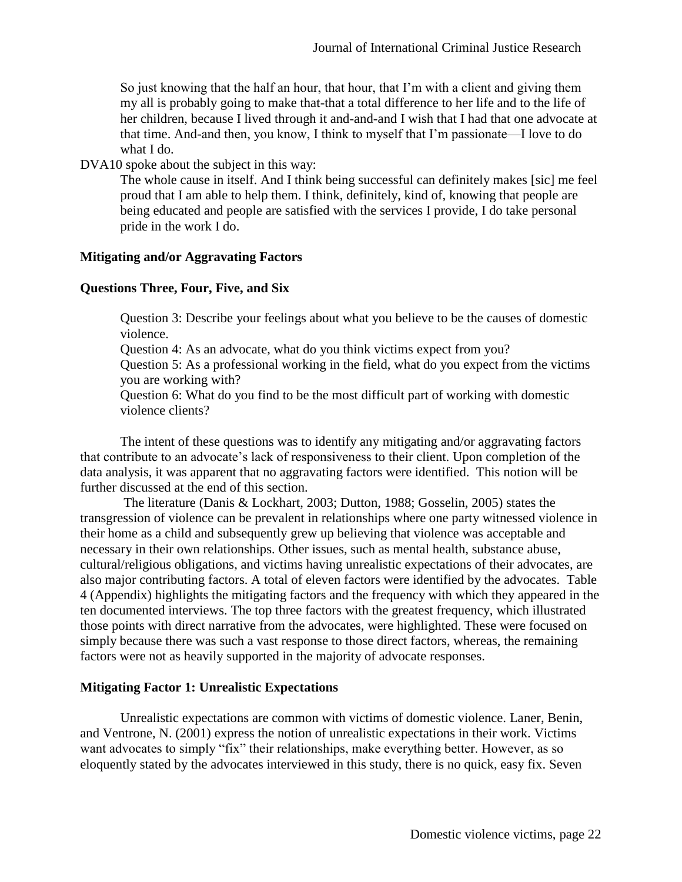So just knowing that the half an hour, that hour, that I'm with a client and giving them my all is probably going to make that-that a total difference to her life and to the life of her children, because I lived through it and-and-and I wish that I had that one advocate at that time. And-and then, you know, I think to myself that I'm passionate—I love to do what I do.

DVA10 spoke about the subject in this way:

The whole cause in itself. And I think being successful can definitely makes [sic] me feel proud that I am able to help them. I think, definitely, kind of, knowing that people are being educated and people are satisfied with the services I provide, I do take personal pride in the work I do.

# **Mitigating and/or Aggravating Factors**

# **Questions Three, Four, Five, and Six**

Question 3: Describe your feelings about what you believe to be the causes of domestic violence.

Question 4: As an advocate, what do you think victims expect from you?

Question 5: As a professional working in the field, what do you expect from the victims you are working with?

Question 6: What do you find to be the most difficult part of working with domestic violence clients?

The intent of these questions was to identify any mitigating and/or aggravating factors that contribute to an advocate's lack of responsiveness to their client. Upon completion of the data analysis, it was apparent that no aggravating factors were identified. This notion will be further discussed at the end of this section.

The literature (Danis & Lockhart, 2003; Dutton, 1988; Gosselin, 2005) states the transgression of violence can be prevalent in relationships where one party witnessed violence in their home as a child and subsequently grew up believing that violence was acceptable and necessary in their own relationships. Other issues, such as mental health, substance abuse, cultural/religious obligations, and victims having unrealistic expectations of their advocates, are also major contributing factors. A total of eleven factors were identified by the advocates. Table 4 (Appendix) highlights the mitigating factors and the frequency with which they appeared in the ten documented interviews. The top three factors with the greatest frequency, which illustrated those points with direct narrative from the advocates, were highlighted. These were focused on simply because there was such a vast response to those direct factors, whereas, the remaining factors were not as heavily supported in the majority of advocate responses.

#### **Mitigating Factor 1: Unrealistic Expectations**

Unrealistic expectations are common with victims of domestic violence. Laner, Benin, and Ventrone, N. (2001) express the notion of unrealistic expectations in their work. Victims want advocates to simply "fix" their relationships, make everything better. However, as so eloquently stated by the advocates interviewed in this study, there is no quick, easy fix. Seven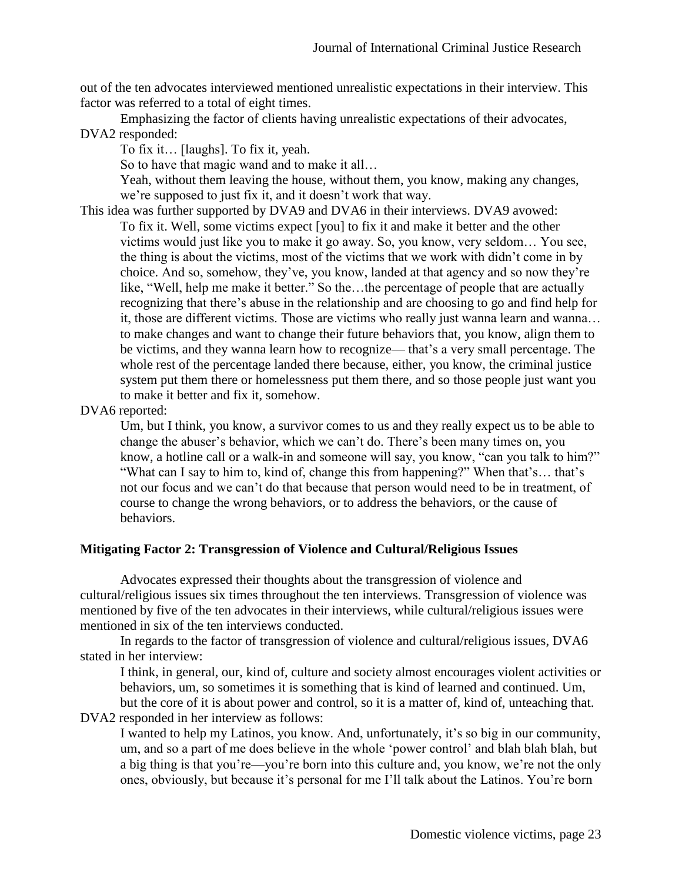out of the ten advocates interviewed mentioned unrealistic expectations in their interview. This factor was referred to a total of eight times.

Emphasizing the factor of clients having unrealistic expectations of their advocates, DVA2 responded:

To fix it… [laughs]. To fix it, yeah.

So to have that magic wand and to make it all…

Yeah, without them leaving the house, without them, you know, making any changes, we're supposed to just fix it, and it doesn't work that way.

This idea was further supported by DVA9 and DVA6 in their interviews. DVA9 avowed: To fix it. Well, some victims expect [you] to fix it and make it better and the other victims would just like you to make it go away. So, you know, very seldom… You see, the thing is about the victims, most of the victims that we work with didn't come in by choice. And so, somehow, they've, you know, landed at that agency and so now they're like, "Well, help me make it better." So the…the percentage of people that are actually recognizing that there's abuse in the relationship and are choosing to go and find help for it, those are different victims. Those are victims who really just wanna learn and wanna… to make changes and want to change their future behaviors that, you know, align them to be victims, and they wanna learn how to recognize— that's a very small percentage. The whole rest of the percentage landed there because, either, you know, the criminal justice system put them there or homelessness put them there, and so those people just want you to make it better and fix it, somehow.

DVA6 reported:

Um, but I think, you know, a survivor comes to us and they really expect us to be able to change the abuser's behavior, which we can't do. There's been many times on, you know, a hotline call or a walk-in and someone will say, you know, "can you talk to him?" "What can I say to him to, kind of, change this from happening?" When that's… that's not our focus and we can't do that because that person would need to be in treatment, of course to change the wrong behaviors, or to address the behaviors, or the cause of behaviors.

# **Mitigating Factor 2: Transgression of Violence and Cultural/Religious Issues**

Advocates expressed their thoughts about the transgression of violence and cultural/religious issues six times throughout the ten interviews. Transgression of violence was mentioned by five of the ten advocates in their interviews, while cultural/religious issues were mentioned in six of the ten interviews conducted.

In regards to the factor of transgression of violence and cultural/religious issues, DVA6 stated in her interview:

I think, in general, our, kind of, culture and society almost encourages violent activities or behaviors, um, so sometimes it is something that is kind of learned and continued. Um, but the core of it is about power and control, so it is a matter of, kind of, unteaching that.

DVA2 responded in her interview as follows:

I wanted to help my Latinos, you know. And, unfortunately, it's so big in our community, um, and so a part of me does believe in the whole 'power control' and blah blah blah, but a big thing is that you're—you're born into this culture and, you know, we're not the only ones, obviously, but because it's personal for me I'll talk about the Latinos. You're born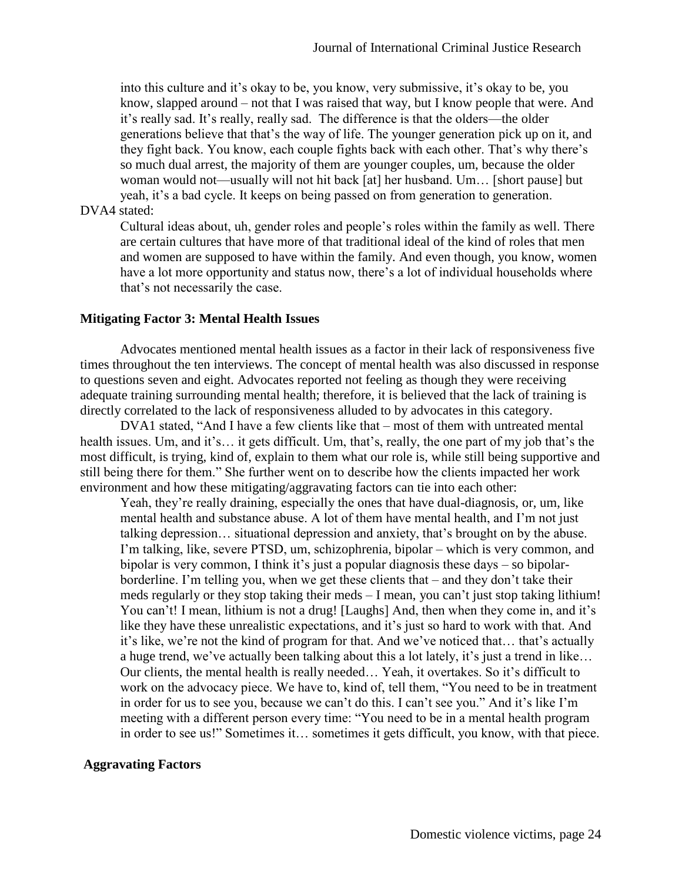into this culture and it's okay to be, you know, very submissive, it's okay to be, you know, slapped around – not that I was raised that way, but I know people that were. And it's really sad. It's really, really sad. The difference is that the olders—the older generations believe that that's the way of life. The younger generation pick up on it, and they fight back. You know, each couple fights back with each other. That's why there's so much dual arrest, the majority of them are younger couples, um, because the older woman would not—usually will not hit back [at] her husband. Um… [short pause] but yeah, it's a bad cycle. It keeps on being passed on from generation to generation.

# DVA4 stated:

Cultural ideas about, uh, gender roles and people's roles within the family as well. There are certain cultures that have more of that traditional ideal of the kind of roles that men and women are supposed to have within the family. And even though, you know, women have a lot more opportunity and status now, there's a lot of individual households where that's not necessarily the case.

#### **Mitigating Factor 3: Mental Health Issues**

Advocates mentioned mental health issues as a factor in their lack of responsiveness five times throughout the ten interviews. The concept of mental health was also discussed in response to questions seven and eight. Advocates reported not feeling as though they were receiving adequate training surrounding mental health; therefore, it is believed that the lack of training is directly correlated to the lack of responsiveness alluded to by advocates in this category.

DVA1 stated, "And I have a few clients like that – most of them with untreated mental health issues. Um, and it's… it gets difficult. Um, that's, really, the one part of my job that's the most difficult, is trying, kind of, explain to them what our role is, while still being supportive and still being there for them." She further went on to describe how the clients impacted her work environment and how these mitigating/aggravating factors can tie into each other:

Yeah, they're really draining, especially the ones that have dual-diagnosis, or, um, like mental health and substance abuse. A lot of them have mental health, and I'm not just talking depression… situational depression and anxiety, that's brought on by the abuse. I'm talking, like, severe PTSD, um, schizophrenia, bipolar – which is very common, and bipolar is very common, I think it's just a popular diagnosis these days – so bipolarborderline. I'm telling you, when we get these clients that – and they don't take their meds regularly or they stop taking their meds – I mean, you can't just stop taking lithium! You can't! I mean, lithium is not a drug! [Laughs] And, then when they come in, and it's like they have these unrealistic expectations, and it's just so hard to work with that. And it's like, we're not the kind of program for that. And we've noticed that… that's actually a huge trend, we've actually been talking about this a lot lately, it's just a trend in like… Our clients, the mental health is really needed… Yeah, it overtakes. So it's difficult to work on the advocacy piece. We have to, kind of, tell them, "You need to be in treatment in order for us to see you, because we can't do this. I can't see you." And it's like I'm meeting with a different person every time: "You need to be in a mental health program in order to see us!" Sometimes it… sometimes it gets difficult, you know, with that piece.

#### **Aggravating Factors**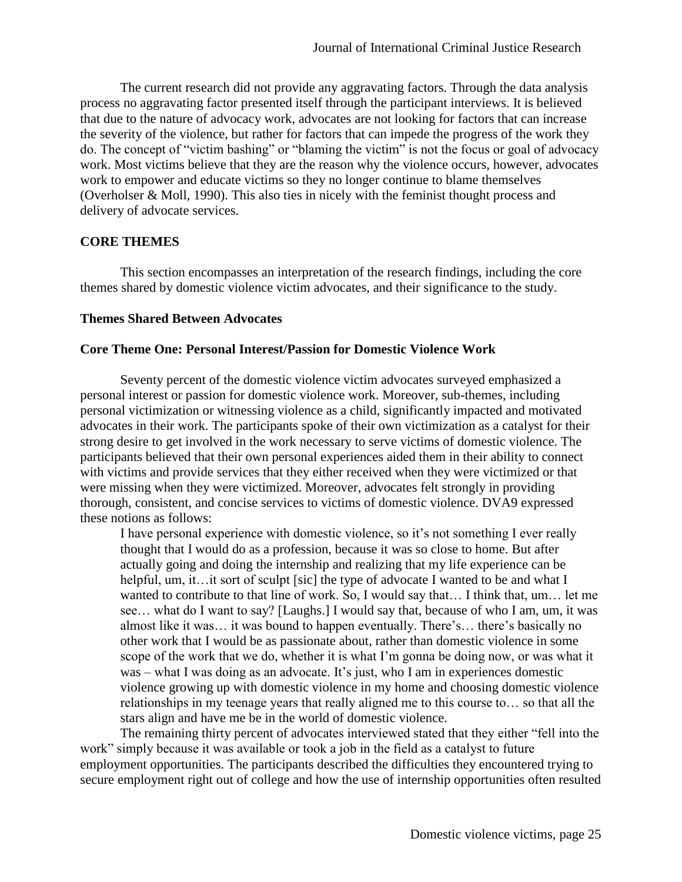The current research did not provide any aggravating factors. Through the data analysis process no aggravating factor presented itself through the participant interviews. It is believed that due to the nature of advocacy work, advocates are not looking for factors that can increase the severity of the violence, but rather for factors that can impede the progress of the work they do. The concept of "victim bashing" or "blaming the victim" is not the focus or goal of advocacy work. Most victims believe that they are the reason why the violence occurs, however, advocates work to empower and educate victims so they no longer continue to blame themselves (Overholser & Moll, 1990). This also ties in nicely with the feminist thought process and delivery of advocate services.

# **CORE THEMES**

This section encompasses an interpretation of the research findings, including the core themes shared by domestic violence victim advocates, and their significance to the study.

# **Themes Shared Between Advocates**

# **Core Theme One: Personal Interest/Passion for Domestic Violence Work**

Seventy percent of the domestic violence victim advocates surveyed emphasized a personal interest or passion for domestic violence work. Moreover, sub-themes, including personal victimization or witnessing violence as a child, significantly impacted and motivated advocates in their work. The participants spoke of their own victimization as a catalyst for their strong desire to get involved in the work necessary to serve victims of domestic violence. The participants believed that their own personal experiences aided them in their ability to connect with victims and provide services that they either received when they were victimized or that were missing when they were victimized. Moreover, advocates felt strongly in providing thorough, consistent, and concise services to victims of domestic violence. DVA9 expressed these notions as follows:

I have personal experience with domestic violence, so it's not something I ever really thought that I would do as a profession, because it was so close to home. But after actually going and doing the internship and realizing that my life experience can be helpful, um, it…it sort of sculpt [sic] the type of advocate I wanted to be and what I wanted to contribute to that line of work. So, I would say that… I think that, um… let me see… what do I want to say? [Laughs.] I would say that, because of who I am, um, it was almost like it was… it was bound to happen eventually. There's… there's basically no other work that I would be as passionate about, rather than domestic violence in some scope of the work that we do, whether it is what I'm gonna be doing now, or was what it was – what I was doing as an advocate. It's just, who I am in experiences domestic violence growing up with domestic violence in my home and choosing domestic violence relationships in my teenage years that really aligned me to this course to… so that all the stars align and have me be in the world of domestic violence.

The remaining thirty percent of advocates interviewed stated that they either "fell into the work" simply because it was available or took a job in the field as a catalyst to future employment opportunities. The participants described the difficulties they encountered trying to secure employment right out of college and how the use of internship opportunities often resulted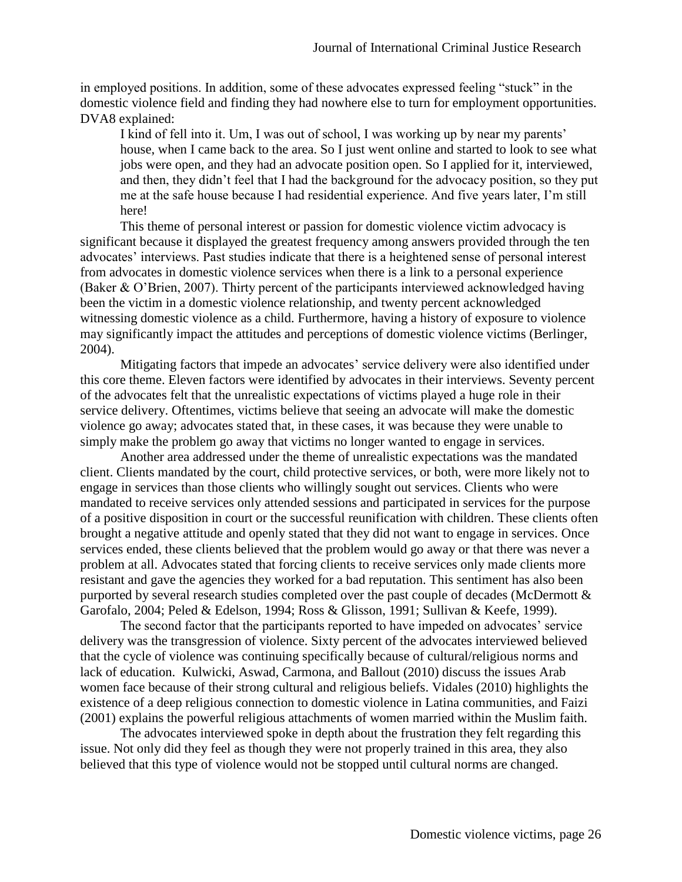in employed positions. In addition, some of these advocates expressed feeling "stuck" in the domestic violence field and finding they had nowhere else to turn for employment opportunities. DVA8 explained:

I kind of fell into it. Um, I was out of school, I was working up by near my parents' house, when I came back to the area. So I just went online and started to look to see what jobs were open, and they had an advocate position open. So I applied for it, interviewed, and then, they didn't feel that I had the background for the advocacy position, so they put me at the safe house because I had residential experience. And five years later, I'm still here!

This theme of personal interest or passion for domestic violence victim advocacy is significant because it displayed the greatest frequency among answers provided through the ten advocates' interviews. Past studies indicate that there is a heightened sense of personal interest from advocates in domestic violence services when there is a link to a personal experience (Baker & O'Brien, 2007). Thirty percent of the participants interviewed acknowledged having been the victim in a domestic violence relationship, and twenty percent acknowledged witnessing domestic violence as a child. Furthermore, having a history of exposure to violence may significantly impact the attitudes and perceptions of domestic violence victims (Berlinger, 2004).

Mitigating factors that impede an advocates' service delivery were also identified under this core theme. Eleven factors were identified by advocates in their interviews. Seventy percent of the advocates felt that the unrealistic expectations of victims played a huge role in their service delivery. Oftentimes, victims believe that seeing an advocate will make the domestic violence go away; advocates stated that, in these cases, it was because they were unable to simply make the problem go away that victims no longer wanted to engage in services.

Another area addressed under the theme of unrealistic expectations was the mandated client. Clients mandated by the court, child protective services, or both, were more likely not to engage in services than those clients who willingly sought out services. Clients who were mandated to receive services only attended sessions and participated in services for the purpose of a positive disposition in court or the successful reunification with children. These clients often brought a negative attitude and openly stated that they did not want to engage in services. Once services ended, these clients believed that the problem would go away or that there was never a problem at all. Advocates stated that forcing clients to receive services only made clients more resistant and gave the agencies they worked for a bad reputation. This sentiment has also been purported by several research studies completed over the past couple of decades (McDermott & Garofalo, 2004; Peled & Edelson, 1994; Ross & Glisson, 1991; Sullivan & Keefe, 1999).

The second factor that the participants reported to have impeded on advocates' service delivery was the transgression of violence. Sixty percent of the advocates interviewed believed that the cycle of violence was continuing specifically because of cultural/religious norms and lack of education. Kulwicki, Aswad, Carmona, and Ballout (2010) discuss the issues Arab women face because of their strong cultural and religious beliefs. Vidales (2010) highlights the existence of a deep religious connection to domestic violence in Latina communities, and Faizi (2001) explains the powerful religious attachments of women married within the Muslim faith.

The advocates interviewed spoke in depth about the frustration they felt regarding this issue. Not only did they feel as though they were not properly trained in this area, they also believed that this type of violence would not be stopped until cultural norms are changed.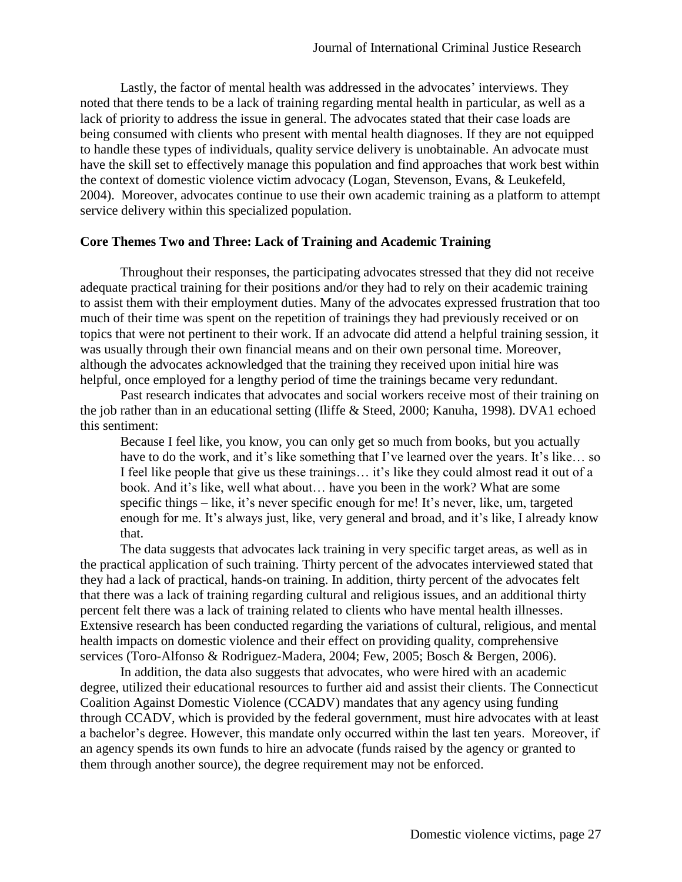Lastly, the factor of mental health was addressed in the advocates' interviews. They noted that there tends to be a lack of training regarding mental health in particular, as well as a lack of priority to address the issue in general. The advocates stated that their case loads are being consumed with clients who present with mental health diagnoses. If they are not equipped to handle these types of individuals, quality service delivery is unobtainable. An advocate must have the skill set to effectively manage this population and find approaches that work best within the context of domestic violence victim advocacy (Logan, Stevenson, Evans, & Leukefeld, 2004). Moreover, advocates continue to use their own academic training as a platform to attempt service delivery within this specialized population.

#### **Core Themes Two and Three: Lack of Training and Academic Training**

Throughout their responses, the participating advocates stressed that they did not receive adequate practical training for their positions and/or they had to rely on their academic training to assist them with their employment duties. Many of the advocates expressed frustration that too much of their time was spent on the repetition of trainings they had previously received or on topics that were not pertinent to their work. If an advocate did attend a helpful training session, it was usually through their own financial means and on their own personal time. Moreover, although the advocates acknowledged that the training they received upon initial hire was helpful, once employed for a lengthy period of time the trainings became very redundant.

Past research indicates that advocates and social workers receive most of their training on the job rather than in an educational setting (Iliffe & Steed, 2000; Kanuha, 1998). DVA1 echoed this sentiment:

Because I feel like, you know, you can only get so much from books, but you actually have to do the work, and it's like something that I've learned over the years. It's like… so I feel like people that give us these trainings… it's like they could almost read it out of a book. And it's like, well what about… have you been in the work? What are some specific things – like, it's never specific enough for me! It's never, like, um, targeted enough for me. It's always just, like, very general and broad, and it's like, I already know that.

The data suggests that advocates lack training in very specific target areas, as well as in the practical application of such training. Thirty percent of the advocates interviewed stated that they had a lack of practical, hands-on training. In addition, thirty percent of the advocates felt that there was a lack of training regarding cultural and religious issues, and an additional thirty percent felt there was a lack of training related to clients who have mental health illnesses. Extensive research has been conducted regarding the variations of cultural, religious, and mental health impacts on domestic violence and their effect on providing quality, comprehensive services (Toro-Alfonso & Rodriguez-Madera, 2004; Few, 2005; Bosch & Bergen, 2006).

In addition, the data also suggests that advocates, who were hired with an academic degree, utilized their educational resources to further aid and assist their clients. The Connecticut Coalition Against Domestic Violence (CCADV) mandates that any agency using funding through CCADV, which is provided by the federal government, must hire advocates with at least a bachelor's degree. However, this mandate only occurred within the last ten years. Moreover, if an agency spends its own funds to hire an advocate (funds raised by the agency or granted to them through another source), the degree requirement may not be enforced.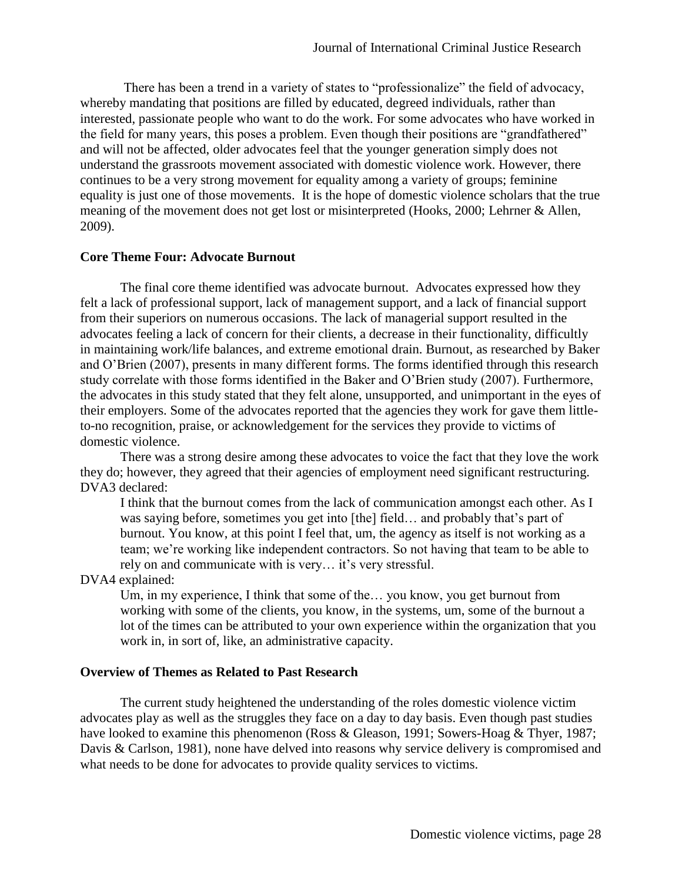There has been a trend in a variety of states to "professionalize" the field of advocacy, whereby mandating that positions are filled by educated, degreed individuals, rather than interested, passionate people who want to do the work. For some advocates who have worked in the field for many years, this poses a problem. Even though their positions are "grandfathered" and will not be affected, older advocates feel that the younger generation simply does not understand the grassroots movement associated with domestic violence work. However, there continues to be a very strong movement for equality among a variety of groups; feminine equality is just one of those movements. It is the hope of domestic violence scholars that the true meaning of the movement does not get lost or misinterpreted (Hooks, 2000; Lehrner & Allen, 2009).

# **Core Theme Four: Advocate Burnout**

The final core theme identified was advocate burnout. Advocates expressed how they felt a lack of professional support, lack of management support, and a lack of financial support from their superiors on numerous occasions. The lack of managerial support resulted in the advocates feeling a lack of concern for their clients, a decrease in their functionality, difficultly in maintaining work/life balances, and extreme emotional drain. Burnout, as researched by Baker and O'Brien (2007), presents in many different forms. The forms identified through this research study correlate with those forms identified in the Baker and O'Brien study (2007). Furthermore, the advocates in this study stated that they felt alone, unsupported, and unimportant in the eyes of their employers. Some of the advocates reported that the agencies they work for gave them littleto-no recognition, praise, or acknowledgement for the services they provide to victims of domestic violence.

There was a strong desire among these advocates to voice the fact that they love the work they do; however, they agreed that their agencies of employment need significant restructuring. DVA3 declared:

I think that the burnout comes from the lack of communication amongst each other. As I was saying before, sometimes you get into [the] field… and probably that's part of burnout. You know, at this point I feel that, um, the agency as itself is not working as a team; we're working like independent contractors. So not having that team to be able to rely on and communicate with is very… it's very stressful.

DVA4 explained:

Um, in my experience, I think that some of the… you know, you get burnout from working with some of the clients, you know, in the systems, um, some of the burnout a lot of the times can be attributed to your own experience within the organization that you work in, in sort of, like, an administrative capacity.

# **Overview of Themes as Related to Past Research**

The current study heightened the understanding of the roles domestic violence victim advocates play as well as the struggles they face on a day to day basis. Even though past studies have looked to examine this phenomenon (Ross & Gleason, 1991; Sowers-Hoag & Thyer, 1987; Davis & Carlson, 1981), none have delved into reasons why service delivery is compromised and what needs to be done for advocates to provide quality services to victims.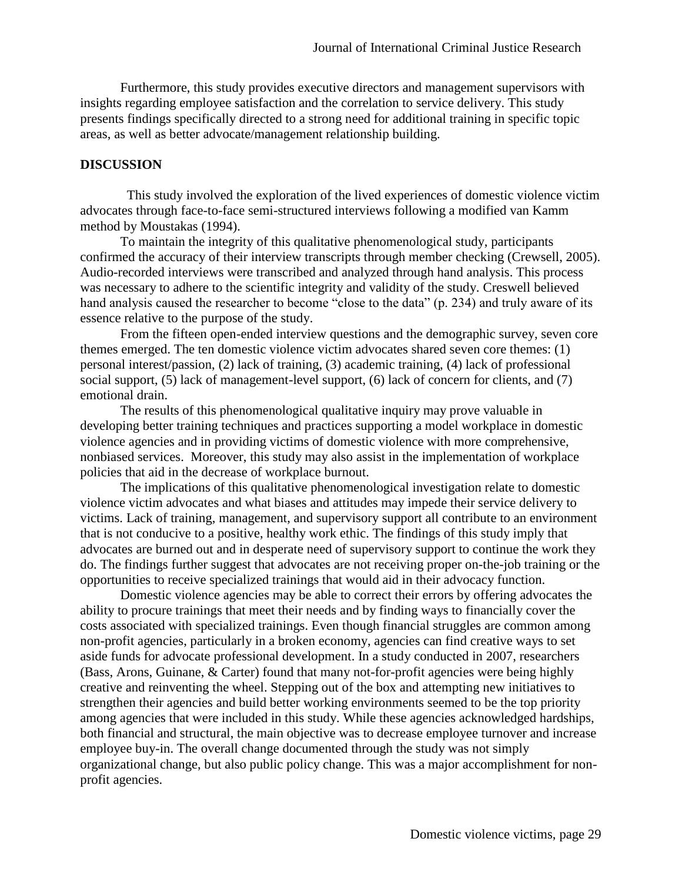Furthermore, this study provides executive directors and management supervisors with insights regarding employee satisfaction and the correlation to service delivery. This study presents findings specifically directed to a strong need for additional training in specific topic areas, as well as better advocate/management relationship building.

# **DISCUSSION**

This study involved the exploration of the lived experiences of domestic violence victim advocates through face-to-face semi-structured interviews following a modified van Kamm method by Moustakas (1994).

To maintain the integrity of this qualitative phenomenological study, participants confirmed the accuracy of their interview transcripts through member checking (Crewsell, 2005). Audio-recorded interviews were transcribed and analyzed through hand analysis. This process was necessary to adhere to the scientific integrity and validity of the study. Creswell believed hand analysis caused the researcher to become "close to the data" (p. 234) and truly aware of its essence relative to the purpose of the study.

From the fifteen open-ended interview questions and the demographic survey, seven core themes emerged. The ten domestic violence victim advocates shared seven core themes: (1) personal interest/passion, (2) lack of training, (3) academic training, (4) lack of professional social support, (5) lack of management-level support, (6) lack of concern for clients, and (7) emotional drain.

The results of this phenomenological qualitative inquiry may prove valuable in developing better training techniques and practices supporting a model workplace in domestic violence agencies and in providing victims of domestic violence with more comprehensive, nonbiased services. Moreover, this study may also assist in the implementation of workplace policies that aid in the decrease of workplace burnout.

The implications of this qualitative phenomenological investigation relate to domestic violence victim advocates and what biases and attitudes may impede their service delivery to victims. Lack of training, management, and supervisory support all contribute to an environment that is not conducive to a positive, healthy work ethic. The findings of this study imply that advocates are burned out and in desperate need of supervisory support to continue the work they do. The findings further suggest that advocates are not receiving proper on-the-job training or the opportunities to receive specialized trainings that would aid in their advocacy function.

Domestic violence agencies may be able to correct their errors by offering advocates the ability to procure trainings that meet their needs and by finding ways to financially cover the costs associated with specialized trainings. Even though financial struggles are common among non-profit agencies, particularly in a broken economy, agencies can find creative ways to set aside funds for advocate professional development. In a study conducted in 2007, researchers (Bass, Arons, Guinane, & Carter) found that many not-for-profit agencies were being highly creative and reinventing the wheel. Stepping out of the box and attempting new initiatives to strengthen their agencies and build better working environments seemed to be the top priority among agencies that were included in this study. While these agencies acknowledged hardships, both financial and structural, the main objective was to decrease employee turnover and increase employee buy-in. The overall change documented through the study was not simply organizational change, but also public policy change. This was a major accomplishment for nonprofit agencies.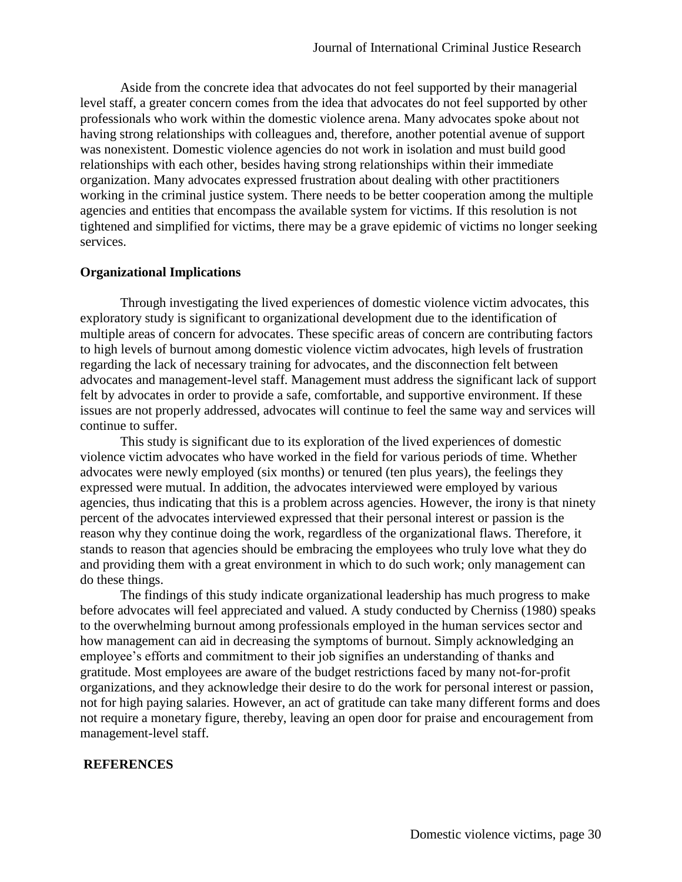Aside from the concrete idea that advocates do not feel supported by their managerial level staff, a greater concern comes from the idea that advocates do not feel supported by other professionals who work within the domestic violence arena. Many advocates spoke about not having strong relationships with colleagues and, therefore, another potential avenue of support was nonexistent. Domestic violence agencies do not work in isolation and must build good relationships with each other, besides having strong relationships within their immediate organization. Many advocates expressed frustration about dealing with other practitioners working in the criminal justice system. There needs to be better cooperation among the multiple agencies and entities that encompass the available system for victims. If this resolution is not tightened and simplified for victims, there may be a grave epidemic of victims no longer seeking services.

#### **Organizational Implications**

Through investigating the lived experiences of domestic violence victim advocates, this exploratory study is significant to organizational development due to the identification of multiple areas of concern for advocates. These specific areas of concern are contributing factors to high levels of burnout among domestic violence victim advocates, high levels of frustration regarding the lack of necessary training for advocates, and the disconnection felt between advocates and management-level staff. Management must address the significant lack of support felt by advocates in order to provide a safe, comfortable, and supportive environment. If these issues are not properly addressed, advocates will continue to feel the same way and services will continue to suffer.

This study is significant due to its exploration of the lived experiences of domestic violence victim advocates who have worked in the field for various periods of time. Whether advocates were newly employed (six months) or tenured (ten plus years), the feelings they expressed were mutual. In addition, the advocates interviewed were employed by various agencies, thus indicating that this is a problem across agencies. However, the irony is that ninety percent of the advocates interviewed expressed that their personal interest or passion is the reason why they continue doing the work, regardless of the organizational flaws. Therefore, it stands to reason that agencies should be embracing the employees who truly love what they do and providing them with a great environment in which to do such work; only management can do these things.

The findings of this study indicate organizational leadership has much progress to make before advocates will feel appreciated and valued. A study conducted by Cherniss (1980) speaks to the overwhelming burnout among professionals employed in the human services sector and how management can aid in decreasing the symptoms of burnout. Simply acknowledging an employee's efforts and commitment to their job signifies an understanding of thanks and gratitude. Most employees are aware of the budget restrictions faced by many not-for-profit organizations, and they acknowledge their desire to do the work for personal interest or passion, not for high paying salaries. However, an act of gratitude can take many different forms and does not require a monetary figure, thereby, leaving an open door for praise and encouragement from management-level staff.

#### **REFERENCES**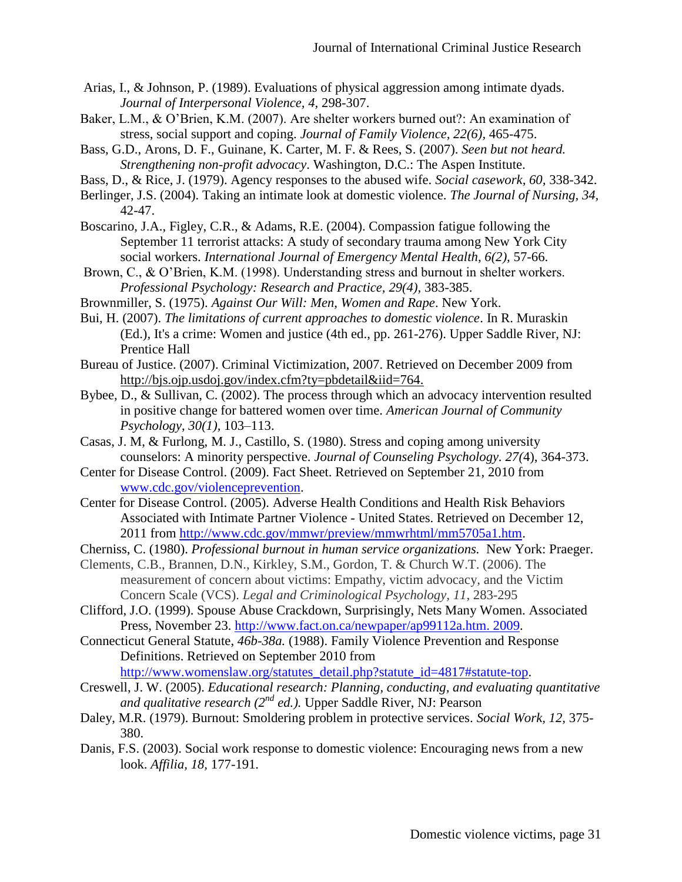- Arias, I., & Johnson, P. (1989). Evaluations of physical aggression among intimate dyads. *Journal of Interpersonal Violence, 4,* 298-307.
- Baker, L.M., & O'Brien, K.M. (2007). Are shelter workers burned out?: An examination of stress, social support and coping. *Journal of Family Violence, 22(6),* 465-475.
- Bass, G.D., Arons, D. F., Guinane, K. Carter, M. F. & Rees, S. (2007). *Seen but not heard. Strengthening non-profit advocacy*. Washington, D.C.: The Aspen Institute.
- Bass, D., & Rice, J. (1979). Agency responses to the abused wife. *Social casework, 60,* 338-342.
- Berlinger, J.S. (2004). Taking an intimate look at domestic violence. *The Journal of Nursing, 34,* 42-47.
- Boscarino, J.A., Figley, C.R., & Adams, R.E. (2004). Compassion fatigue following the September 11 terrorist attacks: A study of secondary trauma among New York City social workers. *International Journal of Emergency Mental Health, 6(2), 57-66.*
- Brown, C., & O'Brien, K.M. (1998). Understanding stress and burnout in shelter workers. *Professional Psychology: Research and Practice, 29(4),* 383-385.
- Brownmiller, S. (1975). *Against Our Will: Men, Women and Rape*. New York.
- Bui, H. (2007). *The limitations of current approaches to domestic violence*. In R. Muraskin (Ed.), It's a crime: Women and justice (4th ed., pp. 261-276). Upper Saddle River, NJ: Prentice Hall
- Bureau of Justice. (2007). Criminal Victimization, 2007. Retrieved on December 2009 from http://bjs.ojp.usdoj.gov/index.cfm?ty=pbdetail&iid=764.
- Bybee, D., & Sullivan, C. (2002). The process through which an advocacy intervention resulted in positive change for battered women over time. *American Journal of Community Psychology*, *30(1),* 103–113.
- Casas, J. M, & Furlong, M. J., Castillo, S. (1980). Stress and coping among university counselors: A minority perspective. *Journal of Counseling Psychology. 27(*4), 364-373.
- Center for Disease Control. (2009). Fact Sheet. Retrieved on September 21, 2010 from [www.cdc.gov/violenceprevention.](http://www.cdc.gov/violenceprevention)
- Center for Disease Control. (2005). Adverse Health Conditions and Health Risk Behaviors Associated with Intimate Partner Violence - United States. Retrieved on December 12, 2011 from [http://www.cdc.gov/mmwr/preview/mmwrhtml/mm5705a1.htm.](http://www.cdc.gov/mmwr/preview/mmwrhtml/mm5705a1.htm)
- Cherniss, C. (1980). *Professional burnout in human service organizations.* New York: Praeger.
- Clements, C.B., Brannen, D.N., Kirkley, S.M., Gordon, T. & Church W.T. (2006). The measurement of concern about victims: Empathy, victim advocacy, and the Victim Concern Scale (VCS). *Legal and Criminological Psychology, 11*, 283-295
- Clifford, J.O. (1999). Spouse Abuse Crackdown, Surprisingly, Nets Many Women. Associated Press, November 23. [http://www.fact.on.ca/newpaper/ap99112a.htm. 2009.](http://www.fact.on.ca/newpaper/ap99112a.htm.%202009)
- Connecticut General Statute, *46b-38a.* (1988). Family Violence Prevention and Response Definitions. Retrieved on September 2010 from
	- [http://www.womenslaw.org/statutes\\_detail.php?statute\\_id=4817#statute-top.](http://www.womenslaw.org/statutes_detail.php?statute_id=4817#statute-top)
- Creswell, J. W. (2005). *Educational research: Planning, conducting, and evaluating quantitative and qualitative research (2nd ed.).* Upper Saddle River, NJ: Pearson
- Daley, M.R. (1979). Burnout: Smoldering problem in protective services. *Social Work, 12,* 375- 380.
- Danis, F.S. (2003). Social work response to domestic violence: Encouraging news from a new look. *Affilia, 18,* 177-191.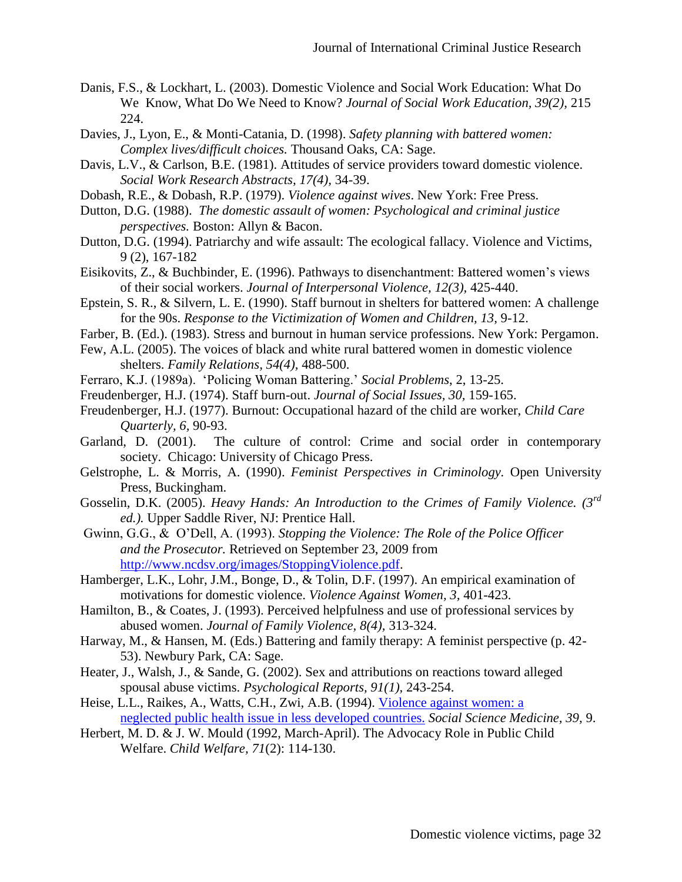- Danis, F.S., & Lockhart, L. (2003). Domestic Violence and Social Work Education: What Do We Know, What Do We Need to Know? *Journal of Social Work Education, 39(2),* 215 224.
- Davies, J., Lyon, E., & Monti-Catania, D. (1998). *Safety planning with battered women: Complex lives/difficult choices.* Thousand Oaks, CA: Sage.
- Davis, L.V., & Carlson, B.E. (1981). Attitudes of service providers toward domestic violence. *Social Work Research Abstracts, 17(4),* 34-39.
- Dobash, R.E., & Dobash, R.P. (1979). *Violence against wives*. New York: Free Press.
- Dutton, D.G. (1988). *The domestic assault of women: Psychological and criminal justice perspectives.* Boston: Allyn & Bacon.
- Dutton, D.G. (1994). Patriarchy and wife assault: The ecological fallacy. Violence and Victims, 9 (2), 167-182
- Eisikovits, Z., & Buchbinder, E. (1996). Pathways to disenchantment: Battered women's views of their social workers. *Journal of Interpersonal Violence, 12(3),* 425-440.
- Epstein, S. R., & Silvern, L. E. (1990). Staff burnout in shelters for battered women: A challenge for the 90s. *Response to the Victimization of Women and Children, 13,* 9-12.
- Farber, B. (Ed.). (1983). Stress and burnout in human service professions. New York: Pergamon.
- Few, A.L. (2005). The voices of black and white rural battered women in domestic violence shelters. *Family Relations, 54(4),* 488-500.
- Ferraro, K.J. (1989a). 'Policing Woman Battering.' *Social Problems*, 2, 13-25.
- Freudenberger, H.J. (1974). Staff burn-out. *Journal of Social Issues, 30,* 159-165.
- Freudenberger, H.J. (1977). Burnout: Occupational hazard of the child are worker, *Child Care Quarterly, 6,* 90-93.
- Garland, D. (2001). The culture of control: Crime and social order in contemporary society. Chicago: University of Chicago Press.
- Gelstrophe, L. & Morris, A. (1990). *Feminist Perspectives in Criminology.* Open University Press, Buckingham.
- Gosselin, D.K. (2005). *Heavy Hands: An Introduction to the Crimes of Family Violence. (3rd ed.).* Upper Saddle River, NJ: Prentice Hall.
- Gwinn, G.G., & O'Dell, A. (1993). *Stopping the Violence: The Role of the Police Officer and the Prosecutor.* Retrieved on September 23, 2009 from [http://www.ncdsv.org/images/StoppingViolence.pdf.](http://www.ncdsv.org/images/StoppingViolence.pdf)
- Hamberger, L.K., Lohr, J.M., Bonge, D., & Tolin, D.F. (1997). An empirical examination of motivations for domestic violence. *Violence Against Women, 3,* 401-423.
- Hamilton, B., & Coates, J. (1993). Perceived helpfulness and use of professional services by abused women. *Journal of Family Violence, 8(4),* 313-324.
- Harway, M., & Hansen, M. (Eds.) Battering and family therapy: A feminist perspective (p. 42- 53). Newbury Park, CA: Sage.
- Heater, J., Walsh, J., & Sande, G. (2002). Sex and attributions on reactions toward alleged spousal abuse victims. *Psychological Reports, 91(1),* 243-254.
- Heise, L.L., Raikes, A., Watts, C.H., Zwi, A.B. (1994). [Violence against women: a](http://www.mendeley.com/research/violence-against-women-a-neglected-public-health-issue-in-less-developed-countries/) [neglected public health issue in less developed countries.](http://www.mendeley.com/research/violence-against-women-a-neglected-public-health-issue-in-less-developed-countries/) *Social Science Medicine, 39,* 9.
- Herbert, M. D. & J. W. Mould (1992, March-April). The Advocacy Role in Public Child Welfare. *Child Welfare, 71*(2): 114-130.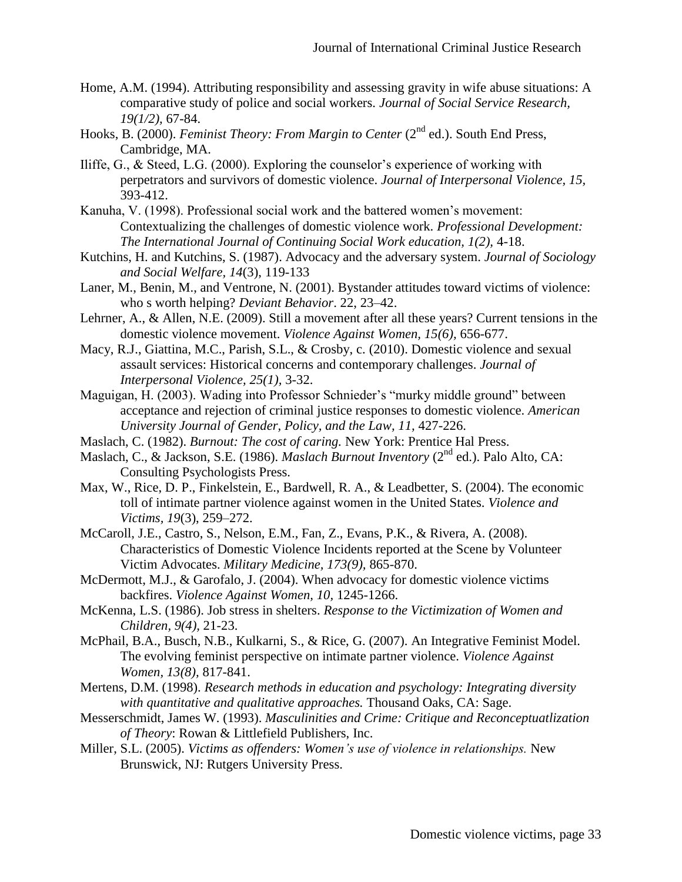- Home, A.M. (1994). Attributing responsibility and assessing gravity in wife abuse situations: A comparative study of police and social workers. *Journal of Social Service Research, 19(1/2),* 67-84.
- Hooks, B. (2000). *Feminist Theory: From Margin to Center* (2<sup>nd</sup> ed.). South End Press, Cambridge, MA.
- Iliffe, G., & Steed, L.G. (2000). Exploring the counselor's experience of working with perpetrators and survivors of domestic violence. *Journal of Interpersonal Violence, 15,* 393-412.
- Kanuha, V. (1998). Professional social work and the battered women's movement: Contextualizing the challenges of domestic violence work. *Professional Development: The International Journal of Continuing Social Work education, 1(2),* 4-18.
- Kutchins, H. and Kutchins, S. (1987). Advocacy and the adversary system. *Journal of Sociology and Social Welfare, 14*(3), 119-133
- Laner, M., Benin, M., and Ventrone, N. (2001). Bystander attitudes toward victims of violence: who s worth helping? *Deviant Behavior*. 22, 23–42.
- Lehrner, A., & Allen, N.E. (2009). Still a movement after all these years? Current tensions in the domestic violence movement. *Violence Against Women, 15(6),* 656-677.
- Macy, R.J., Giattina, M.C., Parish, S.L., & Crosby, c. (2010). Domestic violence and sexual assault services: Historical concerns and contemporary challenges. *Journal of Interpersonal Violence, 25(1),* 3-32.
- Maguigan, H. (2003). Wading into Professor Schnieder's "murky middle ground" between acceptance and rejection of criminal justice responses to domestic violence. *American University Journal of Gender, Policy, and the Law, 11,* 427-226.
- Maslach, C. (1982). *Burnout: The cost of caring.* New York: Prentice Hal Press.
- Maslach, C., & Jackson, S.E. (1986). *Maslach Burnout Inventory* (2<sup>nd</sup> ed.). Palo Alto, CA: Consulting Psychologists Press.
- Max, W., Rice, D. P., Finkelstein, E., Bardwell, R. A., & Leadbetter, S. (2004). The economic toll of intimate partner violence against women in the United States. *Violence and Victims, 19*(3), 259–272.
- McCaroll, J.E., Castro, S., Nelson, E.M., Fan, Z., Evans, P.K., & Rivera, A. (2008). Characteristics of Domestic Violence Incidents reported at the Scene by Volunteer Victim Advocates. *Military Medicine, 173(9),* 865-870.
- McDermott, M.J., & Garofalo, J. (2004). When advocacy for domestic violence victims backfires. *Violence Against Women, 10,* 1245-1266.
- McKenna, L.S. (1986). Job stress in shelters. *Response to the Victimization of Women and Children, 9(4),* 21-23.
- McPhail, B.A., Busch, N.B., Kulkarni, S., & Rice, G. (2007). An Integrative Feminist Model. The evolving feminist perspective on intimate partner violence. *Violence Against Women, 13(8),* 817-841.
- Mertens, D.M. (1998). *Research methods in education and psychology: Integrating diversity with quantitative and qualitative approaches.* Thousand Oaks, CA: Sage.
- Messerschmidt, James W. (1993). *Masculinities and Crime: Critique and Reconceptuatlization of Theory*: Rowan & Littlefield Publishers, Inc.
- Miller, S.L. (2005). *Victims as offenders: Women's use of violence in relationships.* New Brunswick, NJ: Rutgers University Press.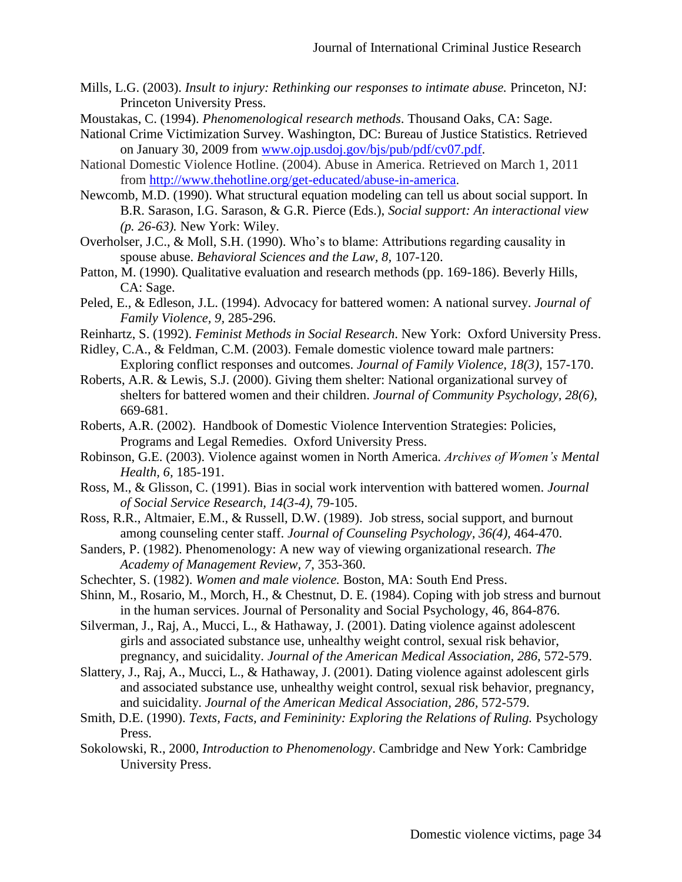- Mills, L.G. (2003). *Insult to injury: Rethinking our responses to intimate abuse.* Princeton, NJ: Princeton University Press.
- Moustakas, C. (1994). *Phenomenological research methods*. Thousand Oaks, CA: Sage.
- National Crime Victimization Survey. Washington, DC: Bureau of Justice Statistics. Retrieved on January 30, 2009 from [www.ojp.usdoj.gov/bjs/pub/pdf/cv07.pdf.](http://www.ojp.usdoj.gov/bjs/pub/pdf/cv07.pdf)
- National Domestic Violence Hotline. (2004). Abuse in America. Retrieved on March 1, 2011 from [http://www.thehotline.org/get-educated/abuse-in-america.](http://www.thehotline.org/get-educated/abuse-in-america)
- Newcomb, M.D. (1990). What structural equation modeling can tell us about social support. In B.R. Sarason, I.G. Sarason, & G.R. Pierce (Eds.), *Social support: An interactional view (p. 26-63).* New York: Wiley.
- Overholser, J.C., & Moll, S.H. (1990). Who's to blame: Attributions regarding causality in spouse abuse. *Behavioral Sciences and the Law, 8,* 107-120.
- Patton, M. (1990). Qualitative evaluation and research methods (pp. 169-186). Beverly Hills, CA: Sage.
- Peled, E., & Edleson, J.L. (1994). Advocacy for battered women: A national survey. *Journal of Family Violence, 9,* 285-296.
- Reinhartz, S. (1992). *Feminist Methods in Social Research*. New York: Oxford University Press.
- Ridley, C.A., & Feldman, C.M. (2003). Female domestic violence toward male partners: Exploring conflict responses and outcomes. *Journal of Family Violence, 18(3),* 157-170.
- Roberts, A.R. & Lewis, S.J. (2000). Giving them shelter: National organizational survey of shelters for battered women and their children. *Journal of Community Psychology, 28(6),* 669-681.
- Roberts, A.R. (2002). Handbook of Domestic Violence Intervention Strategies: Policies, Programs and Legal Remedies. Oxford University Press.
- Robinson, G.E. (2003). Violence against women in North America. *Archives of Women's Mental Health, 6,* 185-191.
- Ross, M., & Glisson, C. (1991). Bias in social work intervention with battered women. *Journal of Social Service Research, 14(3-4),* 79-105.
- Ross, R.R., Altmaier, E.M., & Russell, D.W. (1989). Job stress, social support, and burnout among counseling center staff. *Journal of Counseling Psychology, 36(4),* 464-470.
- Sanders, P. (1982). Phenomenology: A new way of viewing organizational research. *The Academy of Management Review, 7*, 353-360.
- Schechter, S. (1982). *Women and male violence.* Boston, MA: South End Press.
- Shinn, M., Rosario, M., Morch, H., & Chestnut, D. E. (1984). Coping with job stress and burnout in the human services. Journal of Personality and Social Psychology, 46, 864-876.
- Silverman, J., Raj, A., Mucci, L., & Hathaway, J. (2001). Dating violence against adolescent girls and associated substance use, unhealthy weight control, sexual risk behavior, pregnancy, and suicidality. *Journal of the American Medical Association, 286,* 572-579.
- Slattery, J., Raj, A., Mucci, L., & Hathaway, J. (2001). Dating violence against adolescent girls and associated substance use, unhealthy weight control, sexual risk behavior, pregnancy, and suicidality. *Journal of the American Medical Association, 286,* 572-579.
- Smith, D.E. (1990). *Texts, Facts, and Femininity: Exploring the Relations of Ruling.* Psychology Press.
- Sokolowski, R., 2000, *Introduction to Phenomenology*. Cambridge and New York: Cambridge University Press.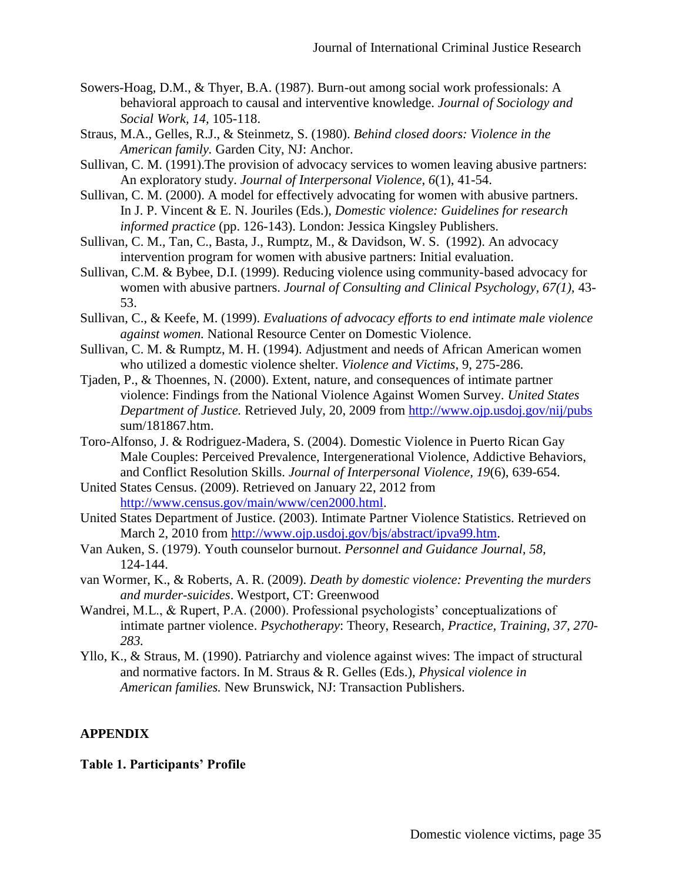- Sowers-Hoag, D.M., & Thyer, B.A. (1987). Burn-out among social work professionals: A behavioral approach to causal and interventive knowledge. *Journal of Sociology and Social Work, 14,* 105-118.
- Straus, M.A., Gelles, R.J., & Steinmetz, S. (1980). *Behind closed doors: Violence in the American family.* Garden City, NJ: Anchor.
- Sullivan, C. M. (1991).The provision of advocacy services to women leaving abusive partners: An exploratory study. *Journal of Interpersonal Violence*, *6*(1), 41-54.
- Sullivan, C. M. (2000). A model for effectively advocating for women with abusive partners. In J. P. Vincent & E. N. Jouriles (Eds.), *Domestic violence: Guidelines for research informed practice* (pp. 126-143). London: Jessica Kingsley Publishers.
- Sullivan, C. M., Tan, C., Basta, J., Rumptz, M., & Davidson, W. S. (1992). An advocacy intervention program for women with abusive partners: Initial evaluation.
- Sullivan, C.M. & Bybee, D.I. (1999). Reducing violence using community-based advocacy for women with abusive partners. *Journal of Consulting and Clinical Psychology, 67(1),* 43- 53.
- Sullivan, C., & Keefe, M. (1999). *Evaluations of advocacy efforts to end intimate male violence against women.* National Resource Center on Domestic Violence.
- Sullivan, C. M. & Rumptz, M. H. (1994). Adjustment and needs of African American women who utilized a domestic violence shelter. *Violence and Victims*, 9, 275-286.
- Tjaden, P., & Thoennes, N. (2000). Extent, nature, and consequences of intimate partner violence: Findings from the National Violence Against Women Survey. *United States Department of Justice.* Retrieved July, 20, 2009 from<http://www.ojp.usdoj.gov/nij/pubs> sum/181867.htm.
- Toro-Alfonso, J. & Rodriguez-Madera, S. (2004). Domestic Violence in Puerto Rican Gay Male Couples: Perceived Prevalence, Intergenerational Violence, Addictive Behaviors, and Conflict Resolution Skills. *Journal of Interpersonal Violence, 19*(6), 639-654.
- United States Census. (2009). Retrieved on January 22, 2012 from [http://www.census.gov/main/www/cen2000.html.](http://www.census.gov/main/www/cen2000.html)
- United States Department of Justice. (2003). Intimate Partner Violence Statistics. Retrieved on March 2, 2010 from [http://www.ojp.usdoj.gov/bjs/abstract/ipva99.htm.](http://www.ojp.usdoj.gov/bjs/abstract/ipva99.htm)
- Van Auken, S. (1979). Youth counselor burnout. *Personnel and Guidance Journal, 58,* 124-144.
- van Wormer, K., & Roberts, A. R. (2009). *Death by domestic violence: Preventing the murders and murder-suicides*. Westport, CT: Greenwood
- Wandrei, M.L., & Rupert, P.A. (2000). Professional psychologists' conceptualizations of intimate partner violence. *Psychotherapy*: Theory, Research*, Practice, Training, 37, 270- 283.*
- Yllo, K., & Straus, M. (1990). Patriarchy and violence against wives: The impact of structural and normative factors. In M. Straus & R. Gelles (Eds.), *Physical violence in American families.* New Brunswick, NJ: Transaction Publishers.

# **APPENDIX**

**Table 1. Participants' Profile**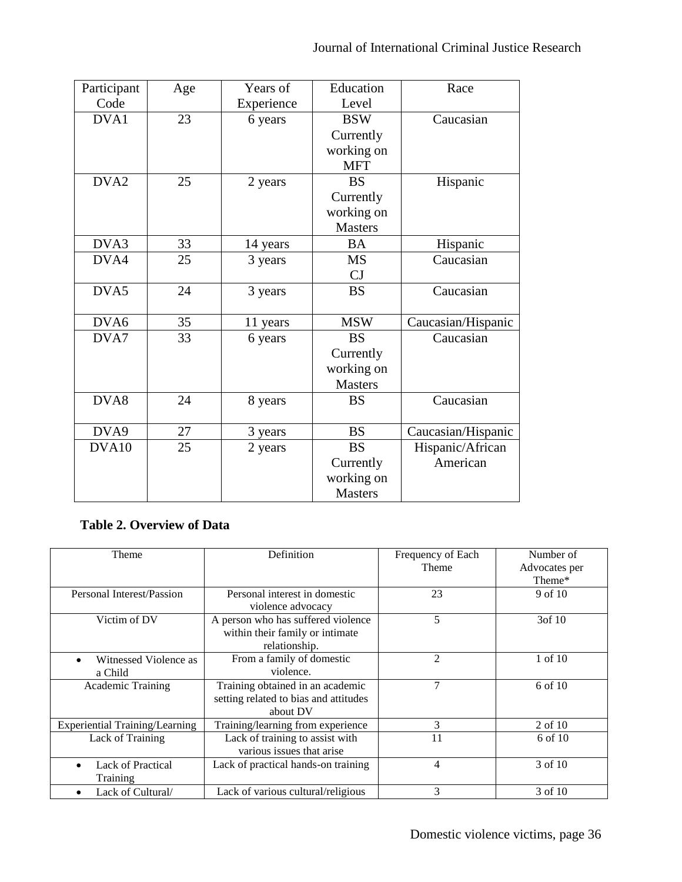| Participant      | Age | Years of   | Education      | Race               |
|------------------|-----|------------|----------------|--------------------|
| Code             |     | Experience | Level          |                    |
| DVA1             | 23  | 6 years    | <b>BSW</b>     | Caucasian          |
|                  |     |            | Currently      |                    |
|                  |     |            | working on     |                    |
|                  |     |            | <b>MFT</b>     |                    |
| DVA <sub>2</sub> | 25  | 2 years    | <b>BS</b>      | Hispanic           |
|                  |     |            | Currently      |                    |
|                  |     |            | working on     |                    |
|                  |     |            | <b>Masters</b> |                    |
| DVA3             | 33  | 14 years   | <b>BA</b>      | Hispanic           |
| DVA4             | 25  | 3 years    | <b>MS</b>      | Caucasian          |
|                  |     |            | CJ             |                    |
| DVA5             | 24  | 3 years    | <b>BS</b>      | Caucasian          |
|                  |     |            |                |                    |
| DVA6             | 35  | 11 years   | <b>MSW</b>     | Caucasian/Hispanic |
| DVA7             | 33  | 6 years    | <b>BS</b>      | Caucasian          |
|                  |     |            | Currently      |                    |
|                  |     |            | working on     |                    |
|                  |     |            | <b>Masters</b> |                    |
| DVA8             | 24  | 8 years    | <b>BS</b>      | Caucasian          |
|                  |     |            |                |                    |
| DVA9             | 27  | 3 years    | <b>BS</b>      | Caucasian/Hispanic |
| DVA10            | 25  | 2 years    | <b>BS</b>      | Hispanic/African   |
|                  |     |            | Currently      | American           |
|                  |     |            | working on     |                    |
|                  |     |            | <b>Masters</b> |                    |

# **Table 2. Overview of Data**

| Theme                                | Definition                                                                             | Frequency of Each<br>Theme | Number of<br>Advocates per |
|--------------------------------------|----------------------------------------------------------------------------------------|----------------------------|----------------------------|
|                                      |                                                                                        |                            | Theme*                     |
| Personal Interest/Passion            | Personal interest in domestic<br>violence advocacy                                     | 23                         | 9 of 10                    |
| Victim of DV                         | A person who has suffered violence<br>within their family or intimate<br>relationship. | 5                          | 3of 10                     |
| Witnessed Violence as<br>a Child     | From a family of domestic<br>violence.                                                 | $\overline{2}$             | 1 of 10                    |
| Academic Training                    | Training obtained in an academic<br>setting related to bias and attitudes<br>about DV  | 7                          | 6 of 10                    |
| Experiential Training/Learning       | Training/learning from experience                                                      | 3                          | 2 of 10                    |
| Lack of Training                     | Lack of training to assist with<br>various issues that arise                           | 11                         | 6 of 10                    |
| <b>Lack of Practical</b><br>Training | Lack of practical hands-on training                                                    | 4                          | 3 of 10                    |
| Lack of Cultural/                    | Lack of various cultural/religious                                                     | 3                          | 3 of 10                    |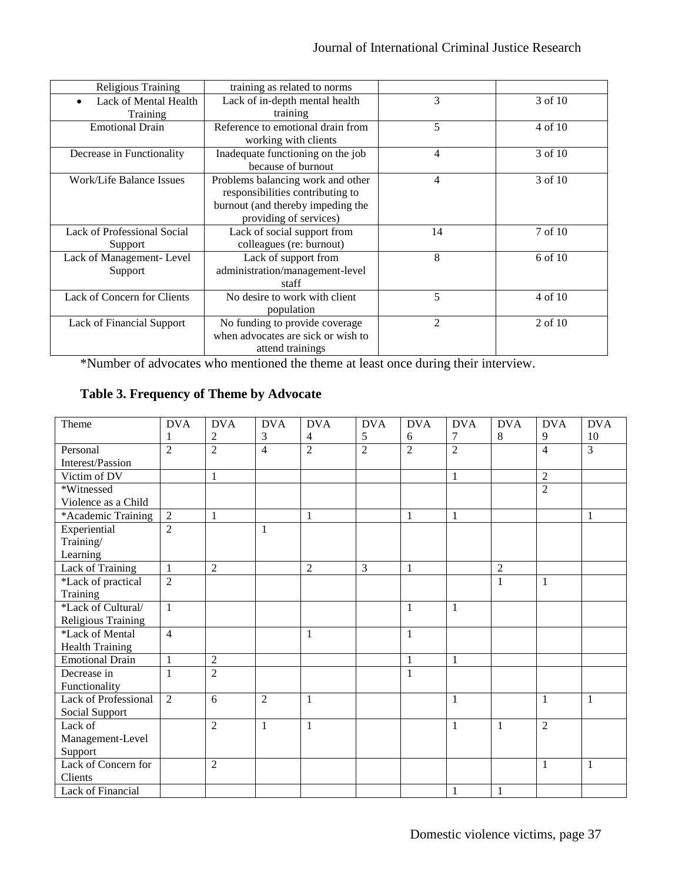| Religious Training                 | training as related to norms       |    |           |
|------------------------------------|------------------------------------|----|-----------|
| Lack of Mental Health              | Lack of in-depth mental health     | 3  | 3 of 10   |
| Training                           | training                           |    |           |
| <b>Emotional Drain</b>             | Reference to emotional drain from  | 5  | 4 of 10   |
|                                    | working with clients               |    |           |
| Decrease in Functionality          | Inadequate functioning on the job  | 4  | 3 of 10   |
|                                    | because of burnout                 |    |           |
| Work/Life Balance Issues           | Problems balancing work and other  | 4  | 3 of 10   |
|                                    | responsibilities contributing to   |    |           |
|                                    | burnout (and thereby impeding the  |    |           |
|                                    | providing of services)             |    |           |
| <b>Lack of Professional Social</b> | Lack of social support from        | 14 | 7 of 10   |
| Support                            | colleagues (re: burnout)           |    |           |
| Lack of Management-Level           | Lack of support from               | 8  | 6 of 10   |
| Support                            | administration/management-level    |    |           |
|                                    | staff                              |    |           |
| Lack of Concern for Clients        | No desire to work with client      | 5  | 4 of 10   |
|                                    | population                         |    |           |
| Lack of Financial Support          | No funding to provide coverage     | 2  | $2$ of 10 |
|                                    | when advocates are sick or wish to |    |           |
|                                    | attend trainings                   |    |           |

\*Number of advocates who mentioned the theme at least once during their interview.

**Table 3. Frequency of Theme by Advocate**

| Theme                   | <b>DVA</b>     | <b>DVA</b>     | <b>DVA</b>     | <b>DVA</b>     | <b>DVA</b>     | <b>DVA</b>     | <b>DVA</b>     | <b>DVA</b>     | <b>DVA</b>     | <b>DVA</b>     |
|-------------------------|----------------|----------------|----------------|----------------|----------------|----------------|----------------|----------------|----------------|----------------|
|                         | 1              | $\overline{c}$ | 3              | 4              | 5              | 6              | 7              | $8\,$          | 9              | 10             |
| Personal                | $\overline{2}$ | $\overline{2}$ | 4              | $\overline{2}$ | $\overline{2}$ | $\overline{2}$ | $\overline{2}$ |                | $\overline{4}$ | $\overline{3}$ |
| Interest/Passion        |                |                |                |                |                |                |                |                |                |                |
| Victim of DV            |                | $\mathbf{1}$   |                |                |                |                | $\mathbf{1}$   |                | $\overline{2}$ |                |
| *Witnessed              |                |                |                |                |                |                |                |                | $\overline{2}$ |                |
| Violence as a Child     |                |                |                |                |                |                |                |                |                |                |
| *Academic Training      | $\overline{2}$ | 1              |                | 1              |                | $\mathbf{1}$   | $\mathbf{1}$   |                |                | 1              |
| Experiential            | $\overline{2}$ |                | 1              |                |                |                |                |                |                |                |
| Training/               |                |                |                |                |                |                |                |                |                |                |
| Learning                |                |                |                |                |                |                |                |                |                |                |
| <b>Lack of Training</b> | $\overline{1}$ | $\overline{2}$ |                | $\overline{2}$ | 3              | $\mathbf{1}$   |                | $\overline{2}$ |                |                |
| *Lack of practical      | $\overline{2}$ |                |                |                |                |                |                | 1              | 1              |                |
| Training                |                |                |                |                |                |                |                |                |                |                |
| *Lack of Cultural/      | $\mathbf{1}$   |                |                |                |                | 1              | $\mathbf{1}$   |                |                |                |
| Religious Training      |                |                |                |                |                |                |                |                |                |                |
| *Lack of Mental         | $\overline{4}$ |                |                | $\mathbf{1}$   |                | $\mathbf{1}$   |                |                |                |                |
| <b>Health Training</b>  |                |                |                |                |                |                |                |                |                |                |
| <b>Emotional Drain</b>  | $\mathbf{1}$   | $\overline{2}$ |                |                |                | $\mathbf{1}$   | 1              |                |                |                |
| Decrease in             | 1              | $\overline{2}$ |                |                |                | 1              |                |                |                |                |
| Functionality           |                |                |                |                |                |                |                |                |                |                |
| Lack of Professional    | 2              | 6              | $\overline{c}$ | 1              |                |                | 1              |                | 1              | $\mathbf{1}$   |
| Social Support          |                |                |                |                |                |                |                |                |                |                |
| Lack of                 |                | 2              | 1              | $\mathbf{1}$   |                |                | $\mathbf{1}$   | 1              | 2              |                |
| Management-Level        |                |                |                |                |                |                |                |                |                |                |
| Support                 |                |                |                |                |                |                |                |                |                |                |
| Lack of Concern for     |                | $\overline{2}$ |                |                |                |                |                |                | 1              | $\mathbf{1}$   |
| Clients                 |                |                |                |                |                |                |                |                |                |                |
| Lack of Financial       |                |                |                |                |                |                | 1              | $\mathbf{1}$   |                |                |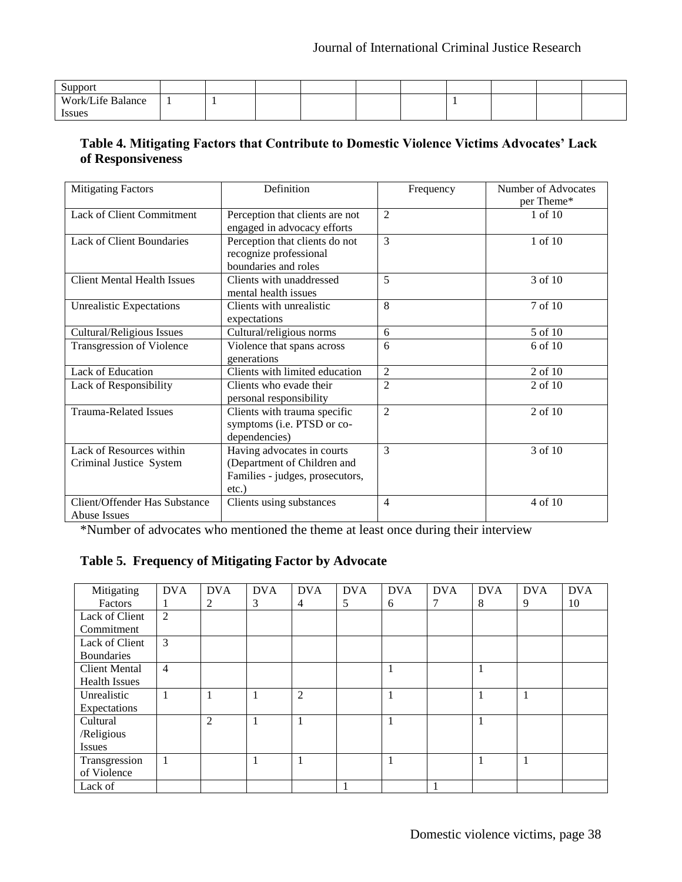| Support           |  |  |  |  |  |
|-------------------|--|--|--|--|--|
| Work/Life Balance |  |  |  |  |  |
| <i>Issues</i>     |  |  |  |  |  |

# **Table 4. Mitigating Factors that Contribute to Domestic Violence Victims Advocates' Lack of Responsiveness**

| <b>Mitigating Factors</b>          | Definition                      | Frequency      | Number of Advocates |
|------------------------------------|---------------------------------|----------------|---------------------|
|                                    |                                 |                | per Theme*          |
| Lack of Client Commitment          | Perception that clients are not | $\overline{2}$ | 1 of 10             |
|                                    | engaged in advocacy efforts     |                |                     |
| <b>Lack of Client Boundaries</b>   | Perception that clients do not  | 3              | 1 of 10             |
|                                    | recognize professional          |                |                     |
|                                    | boundaries and roles            |                |                     |
| <b>Client Mental Health Issues</b> | Clients with unaddressed        | 5              | 3 of 10             |
|                                    | mental health issues            |                |                     |
| <b>Unrealistic Expectations</b>    | Clients with unrealistic        | 8              | 7 of 10             |
|                                    | expectations                    |                |                     |
| Cultural/Religious Issues          | Cultural/religious norms        | 6              | 5 of 10             |
| Transgression of Violence          | Violence that spans across      | 6              | $6$ of $10$         |
|                                    | generations                     |                |                     |
| Lack of Education                  | Clients with limited education  | $\overline{2}$ | 2 of 10             |
| Lack of Responsibility             | Clients who evade their         | $\overline{2}$ | 2 of 10             |
|                                    | personal responsibility         |                |                     |
| <b>Trauma-Related Issues</b>       | Clients with trauma specific    | $\overline{2}$ | 2 of 10             |
|                                    | symptoms (i.e. PTSD or co-      |                |                     |
|                                    | dependencies)                   |                |                     |
| Lack of Resources within           | Having advocates in courts      | 3              | 3 of 10             |
| Criminal Justice System            | (Department of Children and     |                |                     |
|                                    | Families - judges, prosecutors, |                |                     |
|                                    | $etc.$ )                        |                |                     |
| Client/Offender Has Substance      | Clients using substances        | 4              | 4 of 10             |
| <b>Abuse Issues</b>                |                                 |                |                     |

\*Number of advocates who mentioned the theme at least once during their interview

# **Table 5. Frequency of Mitigating Factor by Advocate**

| Mitigating           | <b>DVA</b>     | <b>DVA</b> | <b>DVA</b> | <b>DVA</b> | <b>DVA</b> | <b>DVA</b> | <b>DVA</b> | <b>DVA</b> | <b>DVA</b> | <b>DVA</b> |
|----------------------|----------------|------------|------------|------------|------------|------------|------------|------------|------------|------------|
| Factors              |                | 2          | 3          | 4          | 5          | 6          | 7          | 8          | 9          | 10         |
| Lack of Client       | $\overline{2}$ |            |            |            |            |            |            |            |            |            |
| Commitment           |                |            |            |            |            |            |            |            |            |            |
| Lack of Client       | 3              |            |            |            |            |            |            |            |            |            |
| <b>Boundaries</b>    |                |            |            |            |            |            |            |            |            |            |
| <b>Client Mental</b> | $\overline{4}$ |            |            |            |            | 1          |            |            |            |            |
| <b>Health Issues</b> |                |            |            |            |            |            |            |            |            |            |
| Unrealistic          | 1              | 1          | 1          | 2          |            |            |            |            | 1          |            |
| Expectations         |                |            |            |            |            |            |            |            |            |            |
| Cultural             |                | 2          | 1          | 1          |            |            |            |            |            |            |
| /Religious           |                |            |            |            |            |            |            |            |            |            |
| <b>Issues</b>        |                |            |            |            |            |            |            |            |            |            |
| Transgression        |                |            | 1          | 1          |            |            |            |            |            |            |
| of Violence          |                |            |            |            |            |            |            |            |            |            |
| Lack of              |                |            |            |            |            |            |            |            |            |            |